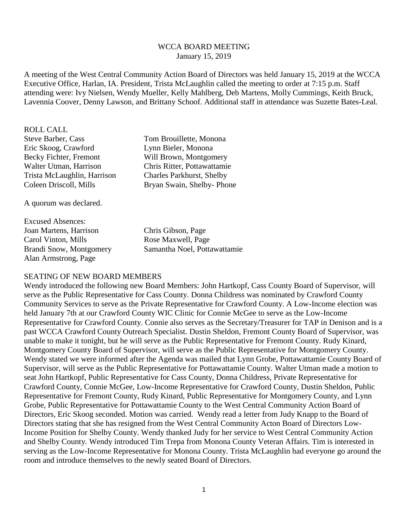#### WCCA BOARD MEETING January 15, 2019

A meeting of the West Central Community Action Board of Directors was held January 15, 2019 at the WCCA Executive Office, Harlan, IA. President, Trista McLaughlin called the meeting to order at 7:15 p.m. Staff attending were: Ivy Nielsen, Wendy Mueller, Kelly Mahlberg, Deb Martens, Molly Cummings, Keith Bruck, Lavennia Coover, Denny Lawson, and Brittany Schoof. Additional staff in attendance was Suzette Bates-Leal.

ROLL CALL Steve Barber, Cass Tom Brouillette, Monona Eric Skoog, Crawford Lynn Bieler, Monona Becky Fichter, Fremont Will Brown, Montgomery Walter Utman, Harrison Chris Ritter, Pottawattamie Trista McLaughlin, Harrison Charles Parkhurst, Shelby

A quorum was declared.

Excused Absences: Joan Martens, Harrison Chris Gibson, Page Carol Vinton, Mills Rose Maxwell, Page Alan Armstrong, Page

Coleen Driscoll, Mills Bryan Swain, Shelby- Phone

Brandi Snow, Montgomery Samantha Noel, Pottawattamie

#### SEATING OF NEW BOARD MEMBERS

Wendy introduced the following new Board Members: John Hartkopf, Cass County Board of Supervisor, will serve as the Public Representative for Cass County. Donna Childress was nominated by Crawford County Community Services to serve as the Private Representative for Crawford County. A Low-Income election was held January 7th at our Crawford County WIC Clinic for Connie McGee to serve as the Low-Income Representative for Crawford County. Connie also serves as the Secretary/Treasurer for TAP in Denison and is a past WCCA Crawford County Outreach Specialist. Dustin Sheldon, Fremont County Board of Supervisor, was unable to make it tonight, but he will serve as the Public Representative for Fremont County. Rudy Kinard, Montgomery County Board of Supervisor, will serve as the Public Representative for Montgomery County. Wendy stated we were informed after the Agenda was mailed that Lynn Grobe, Pottawattamie County Board of Supervisor, will serve as the Public Representative for Pottawattamie County. Walter Utman made a motion to seat John Hartkopf, Public Representative for Cass County, Donna Childress, Private Representative for Crawford County, Connie McGee, Low-Income Representative for Crawford County, Dustin Sheldon, Public Representative for Fremont County, Rudy Kinard, Public Representative for Montgomery County, and Lynn Grobe, Public Representative for Pottawattamie County to the West Central Community Action Board of Directors, Eric Skoog seconded. Motion was carried. Wendy read a letter from Judy Knapp to the Board of Directors stating that she has resigned from the West Central Community Acton Board of Directors Low-Income Position for Shelby County. Wendy thanked Judy for her service to West Central Community Action and Shelby County. Wendy introduced Tim Trepa from Monona County Veteran Affairs. Tim is interested in serving as the Low-Income Representative for Monona County. Trista McLaughlin had everyone go around the room and introduce themselves to the newly seated Board of Directors.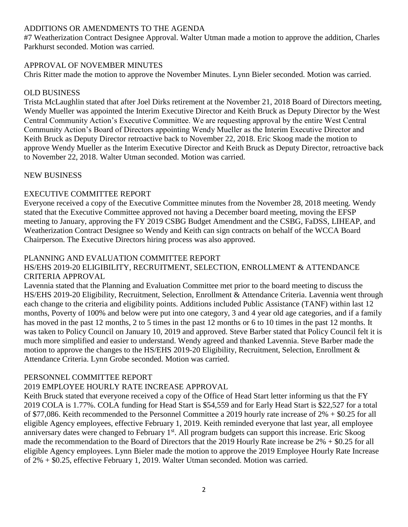# ADDITIONS OR AMENDMENTS TO THE AGENDA

#7 Weatherization Contract Designee Approval. Walter Utman made a motion to approve the addition, Charles Parkhurst seconded. Motion was carried.

# APPROVAL OF NOVEMBER MINUTES

Chris Ritter made the motion to approve the November Minutes. Lynn Bieler seconded. Motion was carried.

# OLD BUSINESS

Trista McLaughlin stated that after Joel Dirks retirement at the November 21, 2018 Board of Directors meeting, Wendy Mueller was appointed the Interim Executive Director and Keith Bruck as Deputy Director by the West Central Community Action's Executive Committee. We are requesting approval by the entire West Central Community Action's Board of Directors appointing Wendy Mueller as the Interim Executive Director and Keith Bruck as Deputy Director retroactive back to November 22, 2018. Eric Skoog made the motion to approve Wendy Mueller as the Interim Executive Director and Keith Bruck as Deputy Director, retroactive back to November 22, 2018. Walter Utman seconded. Motion was carried.

# NEW BUSINESS

# EXECUTIVE COMMITTEE REPORT

Everyone received a copy of the Executive Committee minutes from the November 28, 2018 meeting. Wendy stated that the Executive Committee approved not having a December board meeting, moving the EFSP meeting to January, approving the FY 2019 CSBG Budget Amendment and the CSBG, FaDSS, LIHEAP, and Weatherization Contract Designee so Wendy and Keith can sign contracts on behalf of the WCCA Board Chairperson. The Executive Directors hiring process was also approved.

# PLANNING AND EVALUATION COMMITTEE REPORT

# HS/EHS 2019-20 ELIGIBILITY, RECRUITMENT, SELECTION, ENROLLMENT & ATTENDANCE CRITERIA APPROVAL

Lavennia stated that the Planning and Evaluation Committee met prior to the board meeting to discuss the HS/EHS 2019-20 Eligibility, Recruitment, Selection, Enrollment & Attendance Criteria. Lavennia went through each change to the criteria and eligibility points. Additions included Public Assistance (TANF) within last 12 months, Poverty of 100% and below were put into one category, 3 and 4 year old age categories, and if a family has moved in the past 12 months, 2 to 5 times in the past 12 months or 6 to 10 times in the past 12 months. It was taken to Policy Council on January 10, 2019 and approved. Steve Barber stated that Policy Council felt it is much more simplified and easier to understand. Wendy agreed and thanked Lavennia. Steve Barber made the motion to approve the changes to the HS/EHS 2019-20 Eligibility, Recruitment, Selection, Enrollment & Attendance Criteria. Lynn Grobe seconded. Motion was carried.

# PERSONNEL COMMITTEE REPORT

# 2019 EMPLOYEE HOURLY RATE INCREASE APPROVAL

Keith Bruck stated that everyone received a copy of the Office of Head Start letter informing us that the FY 2019 COLA is 1.77%. COLA funding for Head Start is \$54,559 and for Early Head Start is \$22,527 for a total of \$77,086. Keith recommended to the Personnel Committee a 2019 hourly rate increase of 2% + \$0.25 for all eligible Agency employees, effective February 1, 2019. Keith reminded everyone that last year, all employee anniversary dates were changed to February 1<sup>st</sup>. All program budgets can support this increase. Eric Skoog made the recommendation to the Board of Directors that the 2019 Hourly Rate increase be 2% + \$0.25 for all eligible Agency employees. Lynn Bieler made the motion to approve the 2019 Employee Hourly Rate Increase of 2% + \$0.25, effective February 1, 2019. Walter Utman seconded. Motion was carried.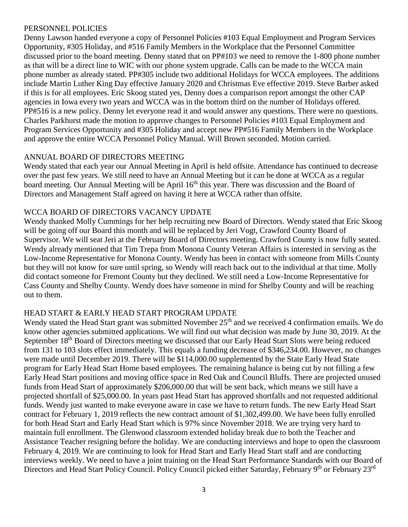# PERSONNEL POLICIES

Denny Lawson handed everyone a copy of Personnel Policies #103 Equal Employment and Program Services Opportunity, #305 Holiday, and #516 Family Members in the Workplace that the Personnel Committee discussed prior to the board meeting. Denny stated that on PP#103 we need to remove the 1-800 phone number as that will be a direct line to WIC with our phone system upgrade. Calls can be made to the WCCA main phone number as already stated. PP#305 include two additional Holidays for WCCA employees. The additions include Martin Luther King Day effective January 2020 and Christmas Eve effective 2019. Steve Barber asked if this is for all employees. Eric Skoog stated yes, Denny does a comparison report amongst the other CAP agencies in Iowa every two years and WCCA was in the bottom third on the number of Holidays offered. PP#516 is a new policy. Denny let everyone read it and would answer any questions. There were no questions. Charles Parkhurst made the motion to approve changes to Personnel Policies #103 Equal Employment and Program Services Opportunity and #305 Holiday and accept new PP#516 Family Members in the Workplace and approve the entire WCCA Personnel Policy Manual. Will Brown seconded. Motion carried.

# ANNUAL BOARD OF DIRECTORS MEETING

Wendy stated that each year our Annual Meeting in April is held offsite. Attendance has continued to decrease over the past few years. We still need to have an Annual Meeting but it can be done at WCCA as a regular board meeting. Our Annual Meeting will be April 16<sup>th</sup> this year. There was discussion and the Board of Directors and Management Staff agreed on having it here at WCCA rather than offsite.

# WCCA BOARD OF DIRECTORS VACANCY UPDATE

Wendy thanked Molly Cummings for her help recruiting new Board of Directors. Wendy stated that Eric Skoog will be going off our Board this month and will be replaced by Jeri Vogt, Crawford County Board of Supervisor. We will seat Jeri at the February Board of Directors meeting. Crawford County is now fully seated. Wendy already mentioned that Tim Trepa from Monona County Veteran Affairs is interested in serving as the Low-Income Representative for Monona County. Wendy has been in contact with someone from Mills County but they will not know for sure until spring, so Wendy will reach back out to the individual at that time. Molly did contact someone for Fremont County but they declined. We still need a Low-Income Representative for Cass County and Shelby County. Wendy does have someone in mind for Shelby County and will be reaching out to them.

# HEAD START & EARLY HEAD START PROGRAM UPDATE

Wendy stated the Head Start grant was submitted November 25<sup>th</sup> and we received 4 confirmation emails. We do know other agencies submitted applications. We will find out what decision was made by June 30, 2019. At the September 18<sup>th</sup> Board of Directors meeting we discussed that our Early Head Start Slots were being reduced from 131 to 103 slots effect immediately. This equals a funding decrease of \$346,234.00. However, no changes were made until December 2019. There will be \$114,000.00 supplemented by the State Early Head State program for Early Head Start Home based employees. The remaining balance is being cut by not filling a few Early Head Start positions and moving office space in Red Oak and Council Bluffs. There are projected unused funds from Head Start of approximately \$206,000.00 that will be sent back, which means we still have a projected shortfall of \$25,000.00. In years past Head Start has approved shortfalls and not requested additional funds. Wendy just wanted to make everyone aware in case we have to return funds. The new Early Head Start contract for February 1, 2019 reflects the new contract amount of \$1,302,499.00. We have been fully enrolled for both Head Start and Early Head Start which is 97% since November 2018. We are trying very hard to maintain full enrollment. The Glenwood classroom extended holiday break due to both the Teacher and Assistance Teacher resigning before the holiday. We are conducting interviews and hope to open the classroom February 4, 2019. We are continuing to look for Head Start and Early Head Start staff and are conducting interviews weekly. We need to have a joint training on the Head Start Performance Standards with our Board of Directors and Head Start Policy Council. Policy Council picked either Saturday, February 9<sup>th</sup> or February 23<sup>rd</sup>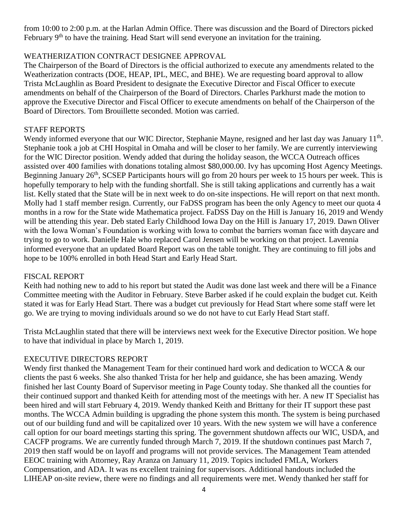from 10:00 to 2:00 p.m. at the Harlan Admin Office. There was discussion and the Board of Directors picked February 9<sup>th</sup> to have the training. Head Start will send everyone an invitation for the training.

# WEATHERIZATION CONTRACT DESIGNEE APPROVAL

The Chairperson of the Board of Directors is the official authorized to execute any amendments related to the Weatherization contracts (DOE, HEAP, IPL, MEC, and BHE). We are requesting board approval to allow Trista McLaughlin as Board President to designate the Executive Director and Fiscal Officer to execute amendments on behalf of the Chairperson of the Board of Directors. Charles Parkhurst made the motion to approve the Executive Director and Fiscal Officer to execute amendments on behalf of the Chairperson of the Board of Directors. Tom Brouillette seconded. Motion was carried.

# STAFF REPORTS

Wendy informed everyone that our WIC Director, Stephanie Mayne, resigned and her last day was January 11<sup>th</sup>. Stephanie took a job at CHI Hospital in Omaha and will be closer to her family. We are currently interviewing for the WIC Director position. Wendy added that during the holiday season, the WCCA Outreach offices assisted over 400 families with donations totaling almost \$80,000.00. Ivy has upcoming Host Agency Meetings. Beginning January 26<sup>th</sup>, SCSEP Participants hours will go from 20 hours per week to 15 hours per week. This is hopefully temporary to help with the funding shortfall. She is still taking applications and currently has a wait list. Kelly stated that the State will be in next week to do on-site inspections. He will report on that next month. Molly had 1 staff member resign. Currently, our FaDSS program has been the only Agency to meet our quota 4 months in a row for the State wide Mathematica project. FaDSS Day on the Hill is January 16, 2019 and Wendy will be attending this year. Deb stated Early Childhood Iowa Day on the Hill is January 17, 2019. Dawn Oliver with the Iowa Woman's Foundation is working with Iowa to combat the barriers woman face with daycare and trying to go to work. Danielle Hale who replaced Carol Jensen will be working on that project. Lavennia informed everyone that an updated Board Report was on the table tonight. They are continuing to fill jobs and hope to be 100% enrolled in both Head Start and Early Head Start.

# FISCAL REPORT

Keith had nothing new to add to his report but stated the Audit was done last week and there will be a Finance Committee meeting with the Auditor in February. Steve Barber asked if he could explain the budget cut. Keith stated it was for Early Head Start. There was a budget cut previously for Head Start where some staff were let go. We are trying to moving individuals around so we do not have to cut Early Head Start staff.

Trista McLaughlin stated that there will be interviews next week for the Executive Director position. We hope to have that individual in place by March 1, 2019.

# EXECUTIVE DIRECTORS REPORT

Wendy first thanked the Management Team for their continued hard work and dedication to WCCA & our clients the past 6 weeks. She also thanked Trista for her help and guidance, she has been amazing. Wendy finished her last County Board of Supervisor meeting in Page County today. She thanked all the counties for their continued support and thanked Keith for attending most of the meetings with her. A new IT Specialist has been hired and will start February 4, 2019. Wendy thanked Keith and Brittany for their IT support these past months. The WCCA Admin building is upgrading the phone system this month. The system is being purchased out of our building fund and will be capitalized over 10 years. With the new system we will have a conference call option for our board meetings starting this spring. The government shutdown affects our WIC, USDA, and CACFP programs. We are currently funded through March 7, 2019. If the shutdown continues past March 7, 2019 then staff would be on layoff and programs will not provide services. The Management Team attended EEOC training with Attorney, Ray Aranza on January 11, 2019. Topics included FMLA, Workers Compensation, and ADA. It was ns excellent training for supervisors. Additional handouts included the LIHEAP on-site review, there were no findings and all requirements were met. Wendy thanked her staff for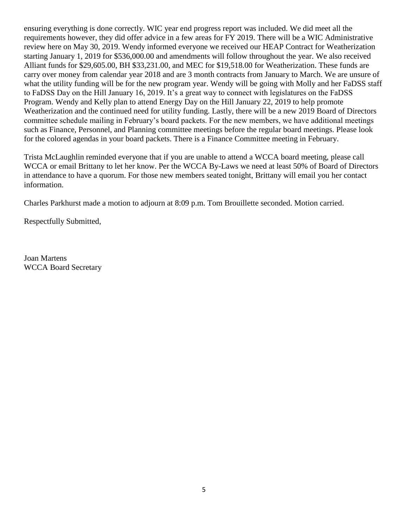ensuring everything is done correctly. WIC year end progress report was included. We did meet all the requirements however, they did offer advice in a few areas for FY 2019. There will be a WIC Administrative review here on May 30, 2019. Wendy informed everyone we received our HEAP Contract for Weatherization starting January 1, 2019 for \$536,000.00 and amendments will follow throughout the year. We also received Alliant funds for \$29,605.00, BH \$33,231.00, and MEC for \$19,518.00 for Weatherization. These funds are carry over money from calendar year 2018 and are 3 month contracts from January to March. We are unsure of what the utility funding will be for the new program year. Wendy will be going with Molly and her FaDSS staff to FaDSS Day on the Hill January 16, 2019. It's a great way to connect with legislatures on the FaDSS Program. Wendy and Kelly plan to attend Energy Day on the Hill January 22, 2019 to help promote Weatherization and the continued need for utility funding. Lastly, there will be a new 2019 Board of Directors committee schedule mailing in February's board packets. For the new members, we have additional meetings such as Finance, Personnel, and Planning committee meetings before the regular board meetings. Please look for the colored agendas in your board packets. There is a Finance Committee meeting in February.

Trista McLaughlin reminded everyone that if you are unable to attend a WCCA board meeting, please call WCCA or email Brittany to let her know. Per the WCCA By-Laws we need at least 50% of Board of Directors in attendance to have a quorum. For those new members seated tonight, Brittany will email you her contact information.

Charles Parkhurst made a motion to adjourn at 8:09 p.m. Tom Brouillette seconded. Motion carried.

Respectfully Submitted,

Joan Martens WCCA Board Secretary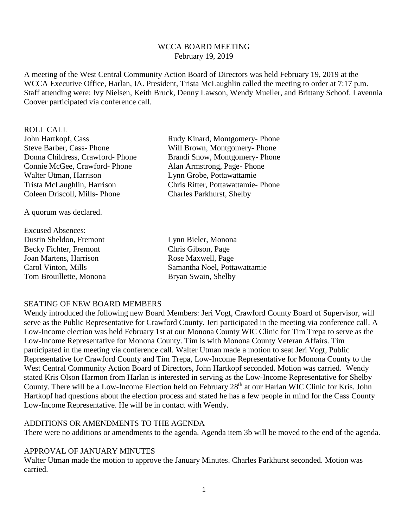#### WCCA BOARD MEETING February 19, 2019

A meeting of the West Central Community Action Board of Directors was held February 19, 2019 at the WCCA Executive Office, Harlan, IA. President, Trista McLaughlin called the meeting to order at 7:17 p.m. Staff attending were: Ivy Nielsen, Keith Bruck, Denny Lawson, Wendy Mueller, and Brittany Schoof. Lavennia Coover participated via conference call.

ROLL CALL John Hartkopf, Cass Rudy Kinard, Montgomery- Phone Steve Barber, Cass- Phone Will Brown, Montgomery- Phone Donna Childress, Crawford- Phone Brandi Snow, Montgomery- Phone Connie McGee, Crawford- Phone Alan Armstrong, Page- Phone Walter Utman, Harrison **Lynn Grobe**, Pottawattamie Trista McLaughlin, Harrison Chris Ritter, Pottawattamie- Phone Coleen Driscoll, Mills- Phone Charles Parkhurst, Shelby

A quorum was declared.

Excused Absences: Dustin Sheldon, Fremont Lynn Bieler, Monona Becky Fichter, Fremont Chris Gibson, Page Joan Martens, Harrison Rose Maxwell, Page Tom Brouillette, Monona Bryan Swain, Shelby

Carol Vinton, Mills Samantha Noel, Pottawattamie

# SEATING OF NEW BOARD MEMBERS

Wendy introduced the following new Board Members: Jeri Vogt, Crawford County Board of Supervisor, will serve as the Public Representative for Crawford County. Jeri participated in the meeting via conference call. A Low-Income election was held February 1st at our Monona County WIC Clinic for Tim Trepa to serve as the Low-Income Representative for Monona County. Tim is with Monona County Veteran Affairs. Tim participated in the meeting via conference call. Walter Utman made a motion to seat Jeri Vogt, Public Representative for Crawford County and Tim Trepa, Low-Income Representative for Monona County to the West Central Community Action Board of Directors, John Hartkopf seconded. Motion was carried. Wendy stated Kris Olson Harmon from Harlan is interested in serving as the Low-Income Representative for Shelby County. There will be a Low-Income Election held on February 28<sup>th</sup> at our Harlan WIC Clinic for Kris. John Hartkopf had questions about the election process and stated he has a few people in mind for the Cass County Low-Income Representative. He will be in contact with Wendy.

#### ADDITIONS OR AMENDMENTS TO THE AGENDA

There were no additions or amendments to the agenda. Agenda item 3b will be moved to the end of the agenda.

#### APPROVAL OF JANUARY MINUTES

Walter Utman made the motion to approve the January Minutes. Charles Parkhurst seconded. Motion was carried.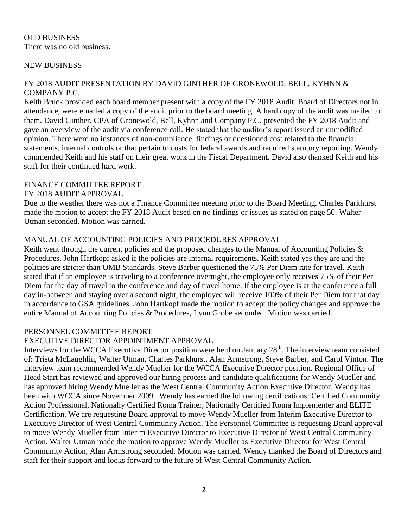# OLD BUSINESS There was no old business.

# NEW BUSINESS

# FY 2018 AUDIT PRESENTATION BY DAVID GINTHER OF GRONEWOLD, BELL, KYHNN & COMPANY P.C.

Keith Bruck provided each board member present with a copy of the FY 2018 Audit. Board of Directors not in attendance, were emailed a copy of the audit prior to the board meeting. A hard copy of the audit was mailed to them. David Ginther, CPA of Gronewold, Bell, Kyhnn and Company P.C. presented the FY 2018 Audit and gave an overview of the audit via conference call. He stated that the auditor's report issued an unmodified opinion. There were no instances of non-compliance, findings or questioned cost related to the financial statements, internal controls or that pertain to costs for federal awards and required statutory reporting. Wendy commended Keith and his staff on their great work in the Fiscal Department. David also thanked Keith and his staff for their continued hard work.

# FINANCE COMMITTEE REPORT

# FY 2018 AUDIT APPROVAL

Due to the weather there was not a Finance Committee meeting prior to the Board Meeting. Charles Parkhurst made the motion to accept the FY 2018 Audit based on no findings or issues as stated on page 50. Walter Utman seconded. Motion was carried.

# MANUAL OF ACCOUNTING POLICIES AND PROCEDURES APPROVAL

Keith went through the current policies and the proposed changes to the Manual of Accounting Policies  $\&$ Procedures. John Hartkopf asked if the policies are internal requirements. Keith stated yes they are and the policies are stricter than OMB Standards. Steve Barber questioned the 75% Per Diem rate for travel. Keith stated that if an employee is traveling to a conference overnight, the employee only receives 75% of their Per Diem for the day of travel to the conference and day of travel home. If the employee is at the conference a full day in-between and staying over a second night, the employee will receive 100% of their Per Diem for that day in accordance to GSA guidelines. John Hartkopf made the motion to accept the policy changes and approve the entire Manual of Accounting Policies & Procedures, Lynn Grobe seconded. Motion was carried.

#### PERSONNEL COMMITTEE REPORT

# EXECUTIVE DIRECTOR APPOINTMENT APPROVAL

Interviews for the WCCA Executive Director position were held on January 28<sup>th</sup>. The interview team consisted of: Trista McLaughlin, Walter Utman, Charles Parkhurst, Alan Armstrong, Steve Barber, and Carol Vinton. The interview team recommended Wendy Mueller for the WCCA Executive Director position. Regional Office of Head Start has reviewed and approved our hiring process and candidate qualifications for Wendy Mueller and has approved hiring Wendy Mueller as the West Central Community Action Executive Director. Wendy has been with WCCA since November 2009. Wendy has earned the following certifications: Certified Community Action Professional, Nationally Certified Roma Trainer, Nationally Certified Roma Implementer and ELITE Certification. We are requesting Board approval to move Wendy Mueller from Interim Executive Director to Executive Director of West Central Community Action. The Personnel Committee is requesting Board approval to move Wendy Mueller from Interim Executive Director to Executive Director of West Central Community Action. Walter Utman made the motion to approve Wendy Mueller as Executive Director for West Central Community Action, Alan Armstrong seconded. Motion was carried. Wendy thanked the Board of Directors and staff for their support and looks forward to the future of West Central Community Action.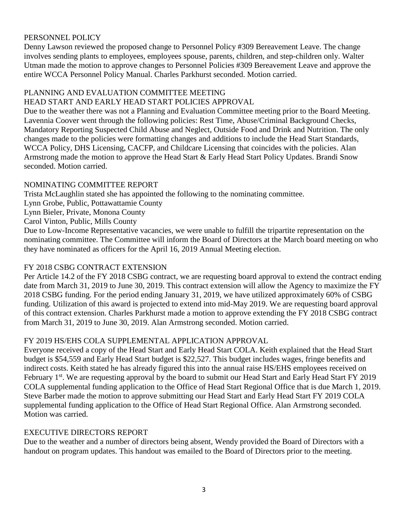# PERSONNEL POLICY

Denny Lawson reviewed the proposed change to Personnel Policy #309 Bereavement Leave. The change involves sending plants to employees, employees spouse, parents, children, and step-children only. Walter Utman made the motion to approve changes to Personnel Policies #309 Bereavement Leave and approve the entire WCCA Personnel Policy Manual. Charles Parkhurst seconded. Motion carried.

# PLANNING AND EVALUATION COMMITTEE MEETING

# HEAD START AND EARLY HEAD START POLICIES APPROVAL

Due to the weather there was not a Planning and Evaluation Committee meeting prior to the Board Meeting. Lavennia Coover went through the following policies: Rest Time, Abuse/Criminal Background Checks, Mandatory Reporting Suspected Child Abuse and Neglect, Outside Food and Drink and Nutrition. The only changes made to the policies were formatting changes and additions to include the Head Start Standards, WCCA Policy, DHS Licensing, CACFP, and Childcare Licensing that coincides with the policies. Alan Armstrong made the motion to approve the Head Start & Early Head Start Policy Updates. Brandi Snow seconded. Motion carried.

# NOMINATING COMMITTEE REPORT

Trista McLaughlin stated she has appointed the following to the nominating committee.

Lynn Grobe, Public, Pottawattamie County

Lynn Bieler, Private, Monona County

Carol Vinton, Public, Mills County

Due to Low-Income Representative vacancies, we were unable to fulfill the tripartite representation on the nominating committee. The Committee will inform the Board of Directors at the March board meeting on who they have nominated as officers for the April 16, 2019 Annual Meeting election.

# FY 2018 CSBG CONTRACT EXTENSION

Per Article 14.2 of the FY 2018 CSBG contract, we are requesting board approval to extend the contract ending date from March 31, 2019 to June 30, 2019. This contract extension will allow the Agency to maximize the FY 2018 CSBG funding. For the period ending January 31, 2019, we have utilized approximately 60% of CSBG funding. Utilization of this award is projected to extend into mid-May 2019. We are requesting board approval of this contract extension. Charles Parkhurst made a motion to approve extending the FY 2018 CSBG contract from March 31, 2019 to June 30, 2019. Alan Armstrong seconded. Motion carried.

# FY 2019 HS/EHS COLA SUPPLEMENTAL APPLICATION APPROVAL

Everyone received a copy of the Head Start and Early Head Start COLA. Keith explained that the Head Start budget is \$54,559 and Early Head Start budget is \$22,527. This budget includes wages, fringe benefits and indirect costs. Keith stated he has already figured this into the annual raise HS/EHS employees received on February 1<sup>st</sup>. We are requesting approval by the board to submit our Head Start and Early Head Start FY 2019 COLA supplemental funding application to the Office of Head Start Regional Office that is due March 1, 2019. Steve Barber made the motion to approve submitting our Head Start and Early Head Start FY 2019 COLA supplemental funding application to the Office of Head Start Regional Office. Alan Armstrong seconded. Motion was carried.

# EXECUTIVE DIRECTORS REPORT

Due to the weather and a number of directors being absent, Wendy provided the Board of Directors with a handout on program updates. This handout was emailed to the Board of Directors prior to the meeting.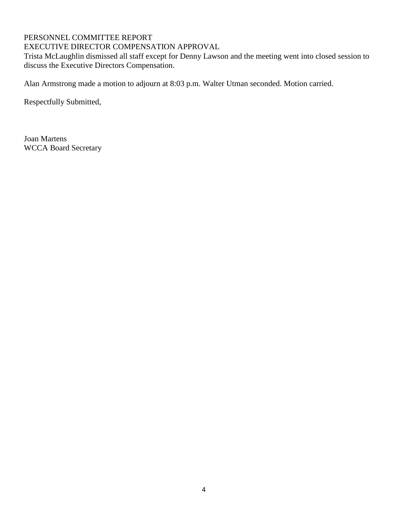# PERSONNEL COMMITTEE REPORT

# EXECUTIVE DIRECTOR COMPENSATION APPROVAL

Trista McLaughlin dismissed all staff except for Denny Lawson and the meeting went into closed session to discuss the Executive Directors Compensation.

Alan Armstrong made a motion to adjourn at 8:03 p.m. Walter Utman seconded. Motion carried.

Respectfully Submitted,

Joan Martens WCCA Board Secretary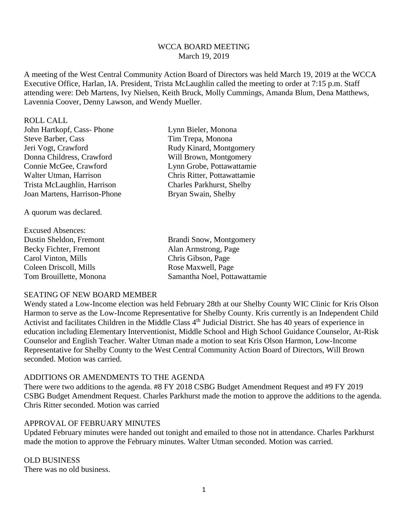### WCCA BOARD MEETING March 19, 2019

A meeting of the West Central Community Action Board of Directors was held March 19, 2019 at the WCCA Executive Office, Harlan, IA. President, Trista McLaughlin called the meeting to order at 7:15 p.m. Staff attending were: Deb Martens, Ivy Nielsen, Keith Bruck, Molly Cummings, Amanda Blum, Dena Matthews, Lavennia Coover, Denny Lawson, and Wendy Mueller.

#### ROLL CALL

| John Hartkopf, Cass-Phone    | Lynn Bieler, Monona              |
|------------------------------|----------------------------------|
| <b>Steve Barber, Cass</b>    | Tim Trepa, Monona                |
| Jeri Vogt, Crawford          | Rudy Kinard, Montgomery          |
| Donna Childress, Crawford    | Will Brown, Montgomery           |
| Connie McGee, Crawford       | Lynn Grobe, Pottawattamie        |
| Walter Utman, Harrison       | Chris Ritter, Pottawattamie      |
| Trista McLaughlin, Harrison  | <b>Charles Parkhurst, Shelby</b> |
| Joan Martens, Harrison-Phone | Bryan Swain, Shelby              |
|                              |                                  |

A quorum was declared.

| Brandi Snow, Montgomery      |
|------------------------------|
| Alan Armstrong, Page         |
| Chris Gibson, Page           |
| Rose Maxwell, Page           |
| Samantha Noel, Pottawattamie |
|                              |

#### SEATING OF NEW BOARD MEMBER

Wendy stated a Low-Income election was held February 28th at our Shelby County WIC Clinic for Kris Olson Harmon to serve as the Low-Income Representative for Shelby County. Kris currently is an Independent Child Activist and facilitates Children in the Middle Class 4<sup>th</sup> Judicial District. She has 40 years of experience in education including Elementary Interventionist, Middle School and High School Guidance Counselor, At-Risk Counselor and English Teacher. Walter Utman made a motion to seat Kris Olson Harmon, Low-Income Representative for Shelby County to the West Central Community Action Board of Directors, Will Brown seconded. Motion was carried.

#### ADDITIONS OR AMENDMENTS TO THE AGENDA

There were two additions to the agenda. #8 FY 2018 CSBG Budget Amendment Request and #9 FY 2019 CSBG Budget Amendment Request. Charles Parkhurst made the motion to approve the additions to the agenda. Chris Ritter seconded. Motion was carried

#### APPROVAL OF FEBRUARY MINUTES

Updated February minutes were handed out tonight and emailed to those not in attendance. Charles Parkhurst made the motion to approve the February minutes. Walter Utman seconded. Motion was carried.

### OLD BUSINESS There was no old business.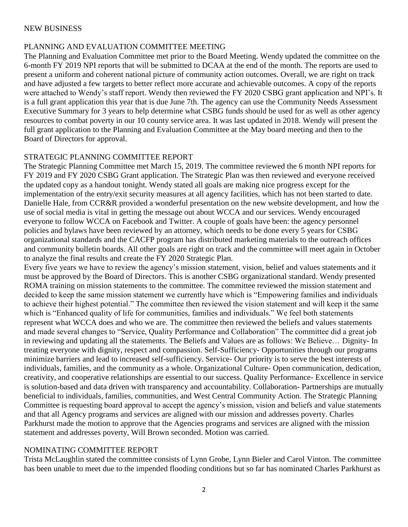# NEW BUSINESS

# PLANNING AND EVALUATION COMMITTEE MEETING

The Planning and Evaluation Committee met prior to the Board Meeting. Wendy updated the committee on the 6-month FY 2019 NPI reports that will be submitted to DCAA at the end of the month. The reports are used to present a uniform and coherent national picture of community action outcomes. Overall, we are right on track and have adjusted a few targets to better reflect more accurate and achievable outcomes. A copy of the reports were attached to Wendy's staff report. Wendy then reviewed the FY 2020 CSBG grant application and NPI's. It is a full grant application this year that is due June 7th. The agency can use the Community Needs Assessment Executive Summary for 3 years to help determine what CSBG funds should be used for as well as other agency resources to combat poverty in our 10 county service area. It was last updated in 2018. Wendy will present the full grant application to the Planning and Evaluation Committee at the May board meeting and then to the Board of Directors for approval.

#### STRATEGIC PLANNING COMMITTEE REPORT

The Strategic Planning Committee met March 15, 2019. The committee reviewed the 6 month NPI reports for FY 2019 and FY 2020 CSBG Grant application. The Strategic Plan was then reviewed and everyone received the updated copy as a handout tonight. Wendy stated all goals are making nice progress except for the implementation of the entry/exit security measures at all agency facilities, which has not been started to date. Danielle Hale, from CCR&R provided a wonderful presentation on the new website development, and how the use of social media is vital in getting the message out about WCCA and our services. Wendy encouraged everyone to follow WCCA on Facebook and Twitter. A couple of goals have been: the agency personnel policies and bylaws have been reviewed by an attorney, which needs to be done every 5 years for CSBG organizational standards and the CACFP program has distributed marketing materials to the outreach offices and community bulletin boards. All other goals are right on track and the committee will meet again in October to analyze the final results and create the FY 2020 Strategic Plan.

Every five years we have to review the agency's mission statement, vision, belief and values statements and it must be approved by the Board of Directors. This is another CSBG organizational standard. Wendy presented ROMA training on mission statements to the committee. The committee reviewed the mission statement and decided to keep the same mission statement we currently have which is "Empowering families and individuals to achieve their highest potential." The committee then reviewed the vision statement and will keep it the same which is "Enhanced quality of life for communities, families and individuals." We feel both statements represent what WCCA does and who we are. The committee then reviewed the beliefs and values statements and made several changes to "Service, Quality Performance and Collaboration" The committee did a great job in reviewing and updating all the statements. The Beliefs and Values are as follows: We Believe… Dignity- In treating everyone with dignity, respect and compassion. Self-Sufficiency- Opportunities through our programs minimize barriers and lead to increased self-sufficiency. Service- Our priority is to serve the best interests of individuals, families, and the community as a whole. Organizational Culture- Open communication, dedication, creativity, and cooperative relationships are essential to our success. Quality Performance- Excellence in service is solution-based and data driven with transparency and accountability. Collaboration- Partnerships are mutually beneficial to individuals, families, communities, and West Central Community Action. The Strategic Planning Committee is requesting board approval to accept the agency's mission, vision and beliefs and value statements and that all Agency programs and services are aligned with our mission and addresses poverty. Charles Parkhurst made the motion to approve that the Agencies programs and services are aligned with the mission statement and addresses poverty, Will Brown seconded. Motion was carried.

# NOMINATING COMMITTEE REPORT

Trista McLaughlin stated the committee consists of Lynn Grobe, Lynn Bieler and Carol Vinton. The committee has been unable to meet due to the impended flooding conditions but so far has nominated Charles Parkhurst as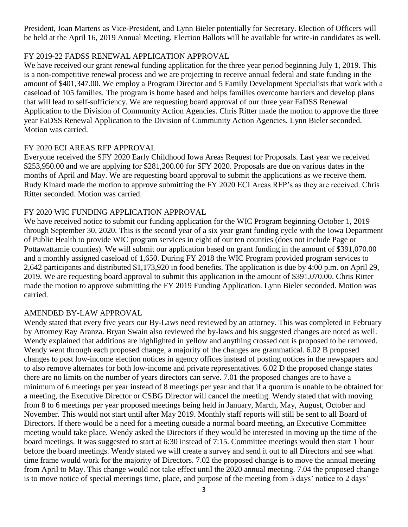President, Joan Martens as Vice-President, and Lynn Bieler potentially for Secretary. Election of Officers will be held at the April 16, 2019 Annual Meeting. Election Ballots will be available for write-in candidates as well.

# FY 2019-22 FADSS RENEWAL APPLICATION APPROVAL

We have received our grant renewal funding application for the three year period beginning July 1, 2019. This is a non-competitive renewal process and we are projecting to receive annual federal and state funding in the amount of \$401,347.00. We employ a Program Director and 5 Family Development Specialists that work with a caseload of 105 families. The program is home based and helps families overcome barriers and develop plans that will lead to self-sufficiency. We are requesting board approval of our three year FaDSS Renewal Application to the Division of Community Action Agencies. Chris Ritter made the motion to approve the three year FaDSS Renewal Application to the Division of Community Action Agencies. Lynn Bieler seconded. Motion was carried.

# FY 2020 ECI AREAS RFP APPROVAL

Everyone received the SFY 2020 Early Childhood Iowa Areas Request for Proposals. Last year we received \$253,950.00 and we are applying for \$281,200.00 for SFY 2020. Proposals are due on various dates in the months of April and May. We are requesting board approval to submit the applications as we receive them. Rudy Kinard made the motion to approve submitting the FY 2020 ECI Areas RFP's as they are received. Chris Ritter seconded. Motion was carried.

# FY 2020 WIC FUNDING APPLICATION APPROVAL

We have received notice to submit our funding application for the WIC Program beginning October 1, 2019 through September 30, 2020. This is the second year of a six year grant funding cycle with the Iowa Department of Public Health to provide WIC program services in eight of our ten counties (does not include Page or Pottawattamie counties). We will submit our application based on grant funding in the amount of \$391,070.00 and a monthly assigned caseload of 1,650. During FY 2018 the WIC Program provided program services to 2,642 participants and distributed \$1,173,920 in food benefits. The application is due by 4:00 p.m. on April 29, 2019. We are requesting board approval to submit this application in the amount of \$391,070.00. Chris Ritter made the motion to approve submitting the FY 2019 Funding Application. Lynn Bieler seconded. Motion was carried.

# AMENDED BY-LAW APPROVAL

Wendy stated that every five years our By-Laws need reviewed by an attorney. This was completed in February by Attorney Ray Aranza. Bryan Swain also reviewed the by-laws and his suggested changes are noted as well. Wendy explained that additions are highlighted in yellow and anything crossed out is proposed to be removed. Wendy went through each proposed change, a majority of the changes are grammatical. 6.02 B proposed changes to post low-income election notices in agency offices instead of posting notices in the newspapers and to also remove alternates for both low-income and private representatives. 6.02 D the proposed change states there are no limits on the number of years directors can serve. 7.01 the proposed changes are to have a minimum of 6 meetings per year instead of 8 meetings per year and that if a quorum is unable to be obtained for a meeting, the Executive Director or CSBG Director will cancel the meeting. Wendy stated that with moving from 8 to 6 meetings per year proposed meetings being held in January, March, May, August, October and November. This would not start until after May 2019. Monthly staff reports will still be sent to all Board of Directors. If there would be a need for a meeting outside a normal board meeting, an Executive Committee meeting would take place. Wendy asked the Directors if they would be interested in moving up the time of the board meetings. It was suggested to start at 6:30 instead of 7:15. Committee meetings would then start 1 hour before the board meetings. Wendy stated we will create a survey and send it out to all Directors and see what time frame would work for the majority of Directors. 7.02 the proposed change is to move the annual meeting from April to May. This change would not take effect until the 2020 annual meeting. 7.04 the proposed change is to move notice of special meetings time, place, and purpose of the meeting from 5 days' notice to 2 days'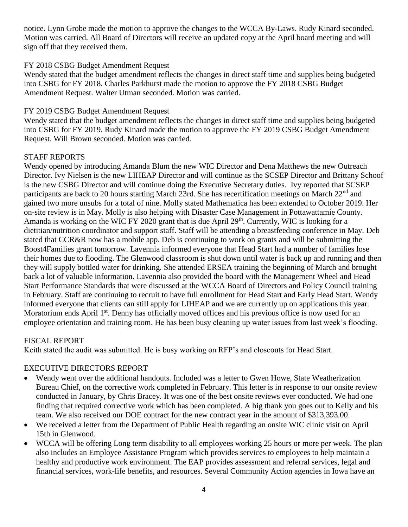notice. Lynn Grobe made the motion to approve the changes to the WCCA By-Laws. Rudy Kinard seconded. Motion was carried. All Board of Directors will receive an updated copy at the April board meeting and will sign off that they received them.

# FY 2018 CSBG Budget Amendment Request

Wendy stated that the budget amendment reflects the changes in direct staff time and supplies being budgeted into CSBG for FY 2018. Charles Parkhurst made the motion to approve the FY 2018 CSBG Budget Amendment Request. Walter Utman seconded. Motion was carried.

# FY 2019 CSBG Budget Amendment Request

Wendy stated that the budget amendment reflects the changes in direct staff time and supplies being budgeted into CSBG for FY 2019. Rudy Kinard made the motion to approve the FY 2019 CSBG Budget Amendment Request. Will Brown seconded. Motion was carried.

# STAFF REPORTS

Wendy opened by introducing Amanda Blum the new WIC Director and Dena Matthews the new Outreach Director. Ivy Nielsen is the new LIHEAP Director and will continue as the SCSEP Director and Brittany Schoof is the new CSBG Director and will continue doing the Executive Secretary duties. Ivy reported that SCSEP participants are back to 20 hours starting March 23rd. She has recertification meetings on March 22<sup>nd</sup> and gained two more unsubs for a total of nine. Molly stated Mathematica has been extended to October 2019. Her on-site review is in May. Molly is also helping with Disaster Case Management in Pottawattamie County. Amanda is working on the WIC FY 2020 grant that is due April 29<sup>th</sup>. Currently, WIC is looking for a dietitian/nutrition coordinator and support staff. Staff will be attending a breastfeeding conference in May. Deb stated that CCR&R now has a mobile app. Deb is continuing to work on grants and will be submitting the Boost4Families grant tomorrow. Lavennia informed everyone that Head Start had a number of families lose their homes due to flooding. The Glenwood classroom is shut down until water is back up and running and then they will supply bottled water for drinking. She attended ERSEA training the beginning of March and brought back a lot of valuable information. Lavennia also provided the board with the Management Wheel and Head Start Performance Standards that were discussed at the WCCA Board of Directors and Policy Council training in February. Staff are continuing to recruit to have full enrollment for Head Start and Early Head Start. Wendy informed everyone that clients can still apply for LIHEAP and we are currently up on applications this year. Moratorium ends April  $1<sup>st</sup>$ . Denny has officially moved offices and his previous office is now used for an employee orientation and training room. He has been busy cleaning up water issues from last week's flooding.

# FISCAL REPORT

Keith stated the audit was submitted. He is busy working on RFP's and closeouts for Head Start.

# EXECUTIVE DIRECTORS REPORT

- Wendy went over the additional handouts. Included was a letter to Gwen Howe, State Weatherization Bureau Chief, on the corrective work completed in February. This letter is in response to our onsite review conducted in January, by Chris Bracey. It was one of the best onsite reviews ever conducted. We had one finding that required corrective work which has been completed. A big thank you goes out to Kelly and his team. We also received our DOE contract for the new contract year in the amount of \$313,393.00.
- We received a letter from the Department of Public Health regarding an onsite WIC clinic visit on April 15th in Glenwood.
- WCCA will be offering Long term disability to all employees working 25 hours or more per week. The plan also includes an Employee Assistance Program which provides services to employees to help maintain a healthy and productive work environment. The EAP provides assessment and referral services, legal and financial services, work-life benefits, and resources. Several Community Action agencies in Iowa have an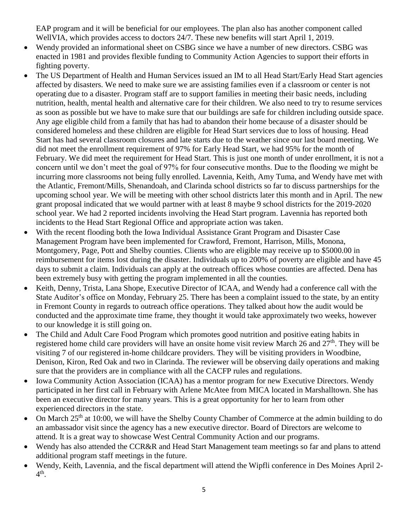EAP program and it will be beneficial for our employees. The plan also has another component called WellVIA, which provides access to doctors 24/7. These new benefits will start April 1, 2019.

- Wendy provided an informational sheet on CSBG since we have a number of new directors. CSBG was enacted in 1981 and provides flexible funding to Community Action Agencies to support their efforts in fighting poverty.
- The US Department of Health and Human Services issued an IM to all Head Start/Early Head Start agencies affected by disasters. We need to make sure we are assisting families even if a classroom or center is not operating due to a disaster. Program staff are to support families in meeting their basic needs, including nutrition, health, mental health and alternative care for their children. We also need to try to resume services as soon as possible but we have to make sure that our buildings are safe for children including outside space. Any age eligible child from a family that has had to abandon their home because of a disaster should be considered homeless and these children are eligible for Head Start services due to loss of housing. Head Start has had several classroom closures and late starts due to the weather since our last board meeting. We did not meet the enrollment requirement of 97% for Early Head Start, we had 95% for the month of February. We did meet the requirement for Head Start. This is just one month of under enrollment, it is not a concern until we don't meet the goal of 97% for four consecutive months. Due to the flooding we might be incurring more classrooms not being fully enrolled. Lavennia, Keith, Amy Tuma, and Wendy have met with the Atlantic, Fremont/Mills, Shenandoah, and Clarinda school districts so far to discuss partnerships for the upcoming school year. We will be meeting with other school districts later this month and in April. The new grant proposal indicated that we would partner with at least 8 maybe 9 school districts for the 2019-2020 school year. We had 2 reported incidents involving the Head Start program. Lavennia has reported both incidents to the Head Start Regional Office and appropriate action was taken.
- With the recent flooding both the Iowa Individual Assistance Grant Program and Disaster Case Management Program have been implemented for Crawford, Fremont, Harrison, Mills, Monona, Montgomery, Page, Pott and Shelby counties. Clients who are eligible may receive up to \$5000.00 in reimbursement for items lost during the disaster. Individuals up to 200% of poverty are eligible and have 45 days to submit a claim. Individuals can apply at the outreach offices whose counties are affected. Dena has been extremely busy with getting the program implemented in all the counties.
- Keith, Denny, Trista, Lana Shope, Executive Director of ICAA, and Wendy had a conference call with the State Auditor's office on Monday, February 25. There has been a complaint issued to the state, by an entity in Fremont County in regards to outreach office operations. They talked about how the audit would be conducted and the approximate time frame, they thought it would take approximately two weeks, however to our knowledge it is still going on.
- The Child and Adult Care Food Program which promotes good nutrition and positive eating habits in registered home child care providers will have an onsite home visit review March 26 and 27<sup>th</sup>. They will be visiting 7 of our registered in-home childcare providers. They will be visiting providers in Woodbine, Denison, Kiron, Red Oak and two in Clarinda. The reviewer will be observing daily operations and making sure that the providers are in compliance with all the CACFP rules and regulations.
- Iowa Community Action Association (ICAA) has a mentor program for new Executive Directors. Wendy participated in her first call in February with Arlene McAtee from MICA located in Marshalltown. She has been an executive director for many years. This is a great opportunity for her to learn from other experienced directors in the state.
- On March 25<sup>th</sup> at 10:00, we will have the Shelby County Chamber of Commerce at the admin building to do an ambassador visit since the agency has a new executive director. Board of Directors are welcome to attend. It is a great way to showcase West Central Community Action and our programs.
- Wendy has also attended the CCR&R and Head Start Management team meetings so far and plans to attend additional program staff meetings in the future.
- Wendy, Keith, Lavennia, and the fiscal department will attend the Wipfli conference in Des Moines April 2-  $4^{\text{th}}$ .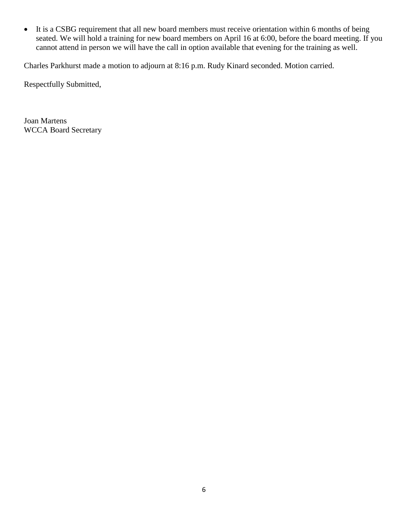It is a CSBG requirement that all new board members must receive orientation within 6 months of being seated. We will hold a training for new board members on April 16 at 6:00, before the board meeting. If you cannot attend in person we will have the call in option available that evening for the training as well.

Charles Parkhurst made a motion to adjourn at 8:16 p.m. Rudy Kinard seconded. Motion carried.

Respectfully Submitted,

Joan Martens WCCA Board Secretary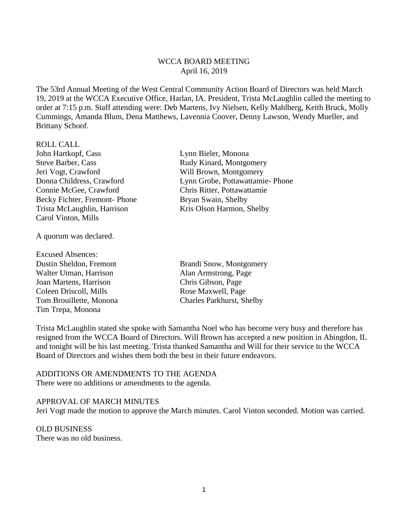#### WCCA BOARD MEETING April 16, 2019

The 53rd Annual Meeting of the West Central Community Action Board of Directors was held March 19, 2019 at the WCCA Executive Office, Harlan, IA. President, Trista McLaughlin called the meeting to order at 7:15 p.m. Staff attending were: Deb Martens, Ivy Nielsen, Kelly Mahlberg, Keith Bruck, Molly Cummings, Amanda Blum, Dena Matthews, Lavennia Coover, Denny Lawson, Wendy Mueller, and Brittany Schoof.

#### ROLL CALL

John Hartkopf, Cass Lynn Bieler, Monona Steve Barber, Cass Rudy Kinard, Montgomery Jeri Vogt, Crawford Will Brown, Montgomery Connie McGee, Crawford Chris Ritter, Pottawattamie Becky Fichter, Fremont- Phone Bryan Swain, Shelby Trista McLaughlin, Harrison Kris Olson Harmon, Shelby Carol Vinton, Mills

A quorum was declared.

- Excused Absences: Dustin Sheldon, Fremont Brandi Snow, Montgomery Walter Utman, Harrison Alan Armstrong, Page Joan Martens, Harrison Chris Gibson, Page Coleen Driscoll, Mills Rose Maxwell, Page Tom Brouillette, Monona Charles Parkhurst, Shelby Tim Trepa, Monona
- Donna Childress, Crawford Lynn Grobe, Pottawattamie- Phone

Trista McLaughlin stated she spoke with Samantha Noel who has become very busy and therefore has resigned from the WCCA Board of Directors. Will Brown has accepted a new position in Abingdon, IL and tonight will be his last meeting. Trista thanked Samantha and Will for their service to the WCCA Board of Directors and wishes them both the best in their future endeavors.

# ADDITIONS OR AMENDMENTS TO THE AGENDA

There were no additions or amendments to the agenda.

#### APPROVAL OF MARCH MINUTES

Jeri Vogt made the motion to approve the March minutes. Carol Vinton seconded. Motion was carried.

# OLD BUSINESS

There was no old business.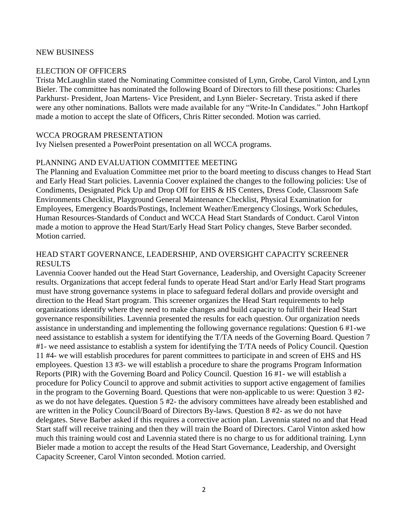#### NEW BUSINESS

#### ELECTION OF OFFICERS

Trista McLaughlin stated the Nominating Committee consisted of Lynn, Grobe, Carol Vinton, and Lynn Bieler. The committee has nominated the following Board of Directors to fill these positions: Charles Parkhurst- President, Joan Martens- Vice President, and Lynn Bieler- Secretary. Trista asked if there were any other nominations. Ballots were made available for any "Write-In Candidates." John Hartkopf made a motion to accept the slate of Officers, Chris Ritter seconded. Motion was carried.

#### WCCA PROGRAM PRESENTATION

Ivy Nielsen presented a PowerPoint presentation on all WCCA programs.

#### PLANNING AND EVALUATION COMMITTEE MEETING

The Planning and Evaluation Committee met prior to the board meeting to discuss changes to Head Start and Early Head Start policies. Lavennia Coover explained the changes to the following policies: Use of Condiments, Designated Pick Up and Drop Off for EHS & HS Centers, Dress Code, Classroom Safe Environments Checklist, Playground General Maintenance Checklist, Physical Examination for Employees, Emergency Boards/Postings, Inclement Weather/Emergency Closings, Work Schedules, Human Resources-Standards of Conduct and WCCA Head Start Standards of Conduct. Carol Vinton made a motion to approve the Head Start/Early Head Start Policy changes, Steve Barber seconded. Motion carried.

# HEAD START GOVERNANCE, LEADERSHIP, AND OVERSIGHT CAPACITY SCREENER RESULTS

Lavennia Coover handed out the Head Start Governance, Leadership, and Oversight Capacity Screener results. Organizations that accept federal funds to operate Head Start and/or Early Head Start programs must have strong governance systems in place to safeguard federal dollars and provide oversight and direction to the Head Start program. This screener organizes the Head Start requirements to help organizations identify where they need to make changes and build capacity to fulfill their Head Start governance responsibilities. Lavennia presented the results for each question. Our organization needs assistance in understanding and implementing the following governance regulations: Question 6 #1-we need assistance to establish a system for identifying the T/TA needs of the Governing Board. Question 7 #1- we need assistance to establish a system for identifying the T/TA needs of Policy Council. Question 11 #4- we will establish procedures for parent committees to participate in and screen of EHS and HS employees. Question 13 #3- we will establish a procedure to share the programs Program Information Reports (PIR) with the Governing Board and Policy Council. Question 16 #1- we will establish a procedure for Policy Council to approve and submit activities to support active engagement of families in the program to the Governing Board. Questions that were non-applicable to us were: Question 3 #2 as we do not have delegates. Question 5 #2- the advisory committees have already been established and are written in the Policy Council/Board of Directors By-laws. Question 8 #2- as we do not have delegates. Steve Barber asked if this requires a corrective action plan. Lavennia stated no and that Head Start staff will receive training and then they will train the Board of Directors. Carol Vinton asked how much this training would cost and Lavennia stated there is no charge to us for additional training. Lynn Bieler made a motion to accept the results of the Head Start Governance, Leadership, and Oversight Capacity Screener, Carol Vinton seconded. Motion carried.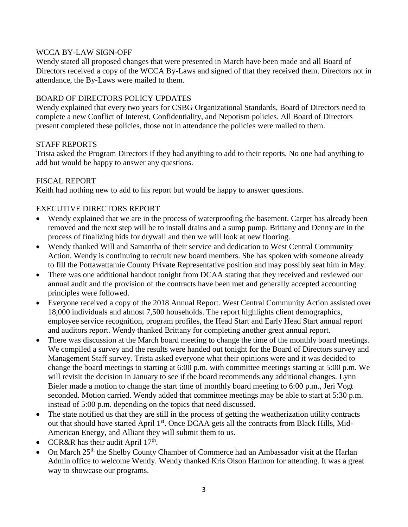# WCCA BY-LAW SIGN-OFF

Wendy stated all proposed changes that were presented in March have been made and all Board of Directors received a copy of the WCCA By-Laws and signed of that they received them. Directors not in attendance, the By-Laws were mailed to them.

# BOARD OF DIRECTORS POLICY UPDATES

Wendy explained that every two years for CSBG Organizational Standards, Board of Directors need to complete a new Conflict of Interest, Confidentiality, and Nepotism policies. All Board of Directors present completed these policies, those not in attendance the policies were mailed to them.

# STAFF REPORTS

Trista asked the Program Directors if they had anything to add to their reports. No one had anything to add but would be happy to answer any questions.

# FISCAL REPORT

Keith had nothing new to add to his report but would be happy to answer questions.

# EXECUTIVE DIRECTORS REPORT

- Wendy explained that we are in the process of waterproofing the basement. Carpet has already been removed and the next step will be to install drains and a sump pump. Brittany and Denny are in the process of finalizing bids for drywall and then we will look at new flooring.
- Wendy thanked Will and Samantha of their service and dedication to West Central Community Action. Wendy is continuing to recruit new board members. She has spoken with someone already to fill the Pottawattamie County Private Representative position and may possibly seat him in May.
- There was one additional handout tonight from DCAA stating that they received and reviewed our annual audit and the provision of the contracts have been met and generally accepted accounting principles were followed.
- Everyone received a copy of the 2018 Annual Report. West Central Community Action assisted over 18,000 individuals and almost 7,500 households. The report highlights client demographics, employee service recognition, program profiles, the Head Start and Early Head Start annual report and auditors report. Wendy thanked Brittany for completing another great annual report.
- There was discussion at the March board meeting to change the time of the monthly board meetings. We compiled a survey and the results were handed out tonight for the Board of Directors survey and Management Staff survey. Trista asked everyone what their opinions were and it was decided to change the board meetings to starting at 6:00 p.m. with committee meetings starting at 5:00 p.m. We will revisit the decision in January to see if the board recommends any additional changes. Lynn Bieler made a motion to change the start time of monthly board meeting to 6:00 p.m., Jeri Vogt seconded. Motion carried. Wendy added that committee meetings may be able to start at 5:30 p.m. instead of 5:00 p.m. depending on the topics that need discussed.
- The state notified us that they are still in the process of getting the weatherization utility contracts out that should have started April 1<sup>st</sup>. Once DCAA gets all the contracts from Black Hills, Mid-American Energy, and Alliant they will submit them to us.
- CCR&R has their audit April  $17<sup>th</sup>$ .
- On March 25<sup>th</sup> the Shelby County Chamber of Commerce had an Ambassador visit at the Harlan Admin office to welcome Wendy. Wendy thanked Kris Olson Harmon for attending. It was a great way to showcase our programs.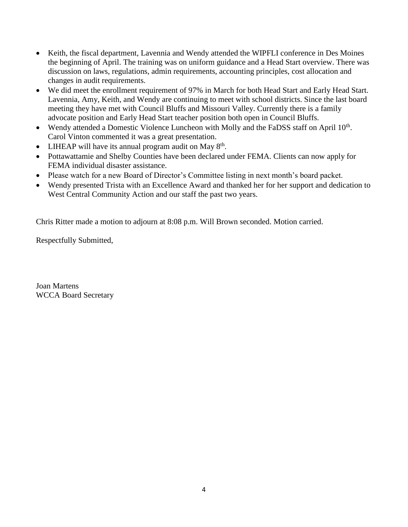- Keith, the fiscal department, Lavennia and Wendy attended the WIPFLI conference in Des Moines the beginning of April. The training was on uniform guidance and a Head Start overview. There was discussion on laws, regulations, admin requirements, accounting principles, cost allocation and changes in audit requirements.
- We did meet the enrollment requirement of 97% in March for both Head Start and Early Head Start. Lavennia, Amy, Keith, and Wendy are continuing to meet with school districts. Since the last board meeting they have met with Council Bluffs and Missouri Valley. Currently there is a family advocate position and Early Head Start teacher position both open in Council Bluffs.
- Wendy attended a Domestic Violence Luncheon with Molly and the FaDSS staff on April 10<sup>th</sup>. Carol Vinton commented it was a great presentation.
- LIHEAP will have its annual program audit on May  $8<sup>th</sup>$ .
- Pottawattamie and Shelby Counties have been declared under FEMA. Clients can now apply for FEMA individual disaster assistance.
- Please watch for a new Board of Director's Committee listing in next month's board packet.
- Wendy presented Trista with an Excellence Award and thanked her for her support and dedication to West Central Community Action and our staff the past two years.

Chris Ritter made a motion to adjourn at 8:08 p.m. Will Brown seconded. Motion carried.

Respectfully Submitted,

Joan Martens WCCA Board Secretary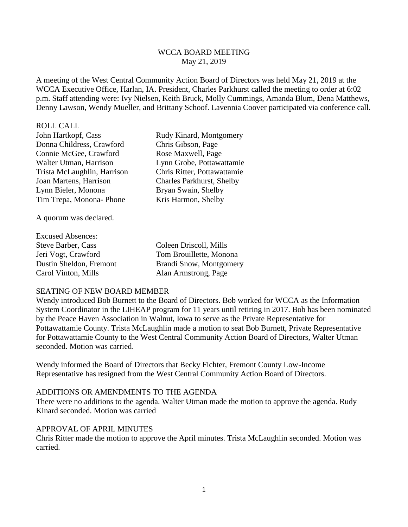### WCCA BOARD MEETING May 21, 2019

A meeting of the West Central Community Action Board of Directors was held May 21, 2019 at the WCCA Executive Office, Harlan, IA. President, Charles Parkhurst called the meeting to order at 6:02 p.m. Staff attending were: Ivy Nielsen, Keith Bruck, Molly Cummings, Amanda Blum, Dena Matthews, Denny Lawson, Wendy Mueller, and Brittany Schoof. Lavennia Coover participated via conference call.

# ROLL CALL

Donna Childress, Crawford Chris Gibson, Page Connie McGee, Crawford Rose Maxwell, Page Walter Utman, Harrison Lynn Grobe, Pottawattamie Trista McLaughlin, Harrison Chris Ritter, Pottawattamie Joan Martens, Harrison Charles Parkhurst, Shelby Lynn Bieler, Monona Bryan Swain, Shelby Tim Trepa, Monona- Phone Kris Harmon, Shelby

John Hartkopf, Cass Rudy Kinard, Montgomery

A quorum was declared.

| <b>Excused Absences:</b>  |                         |
|---------------------------|-------------------------|
| <b>Steve Barber, Cass</b> | Coleen Driscoll, Mills  |
| Jeri Vogt, Crawford       | Tom Brouillette, Monona |
| Dustin Sheldon, Fremont   | Brandi Snow, Montgomery |
| Carol Vinton, Mills       | Alan Armstrong, Page    |

#### SEATING OF NEW BOARD MEMBER

Wendy introduced Bob Burnett to the Board of Directors. Bob worked for WCCA as the Information System Coordinator in the LIHEAP program for 11 years until retiring in 2017. Bob has been nominated by the Peace Haven Association in Walnut, Iowa to serve as the Private Representative for Pottawattamie County. Trista McLaughlin made a motion to seat Bob Burnett, Private Representative for Pottawattamie County to the West Central Community Action Board of Directors, Walter Utman seconded. Motion was carried.

Wendy informed the Board of Directors that Becky Fichter, Fremont County Low-Income Representative has resigned from the West Central Community Action Board of Directors.

# ADDITIONS OR AMENDMENTS TO THE AGENDA

There were no additions to the agenda. Walter Utman made the motion to approve the agenda. Rudy Kinard seconded. Motion was carried

# APPROVAL OF APRIL MINUTES

Chris Ritter made the motion to approve the April minutes. Trista McLaughlin seconded. Motion was carried.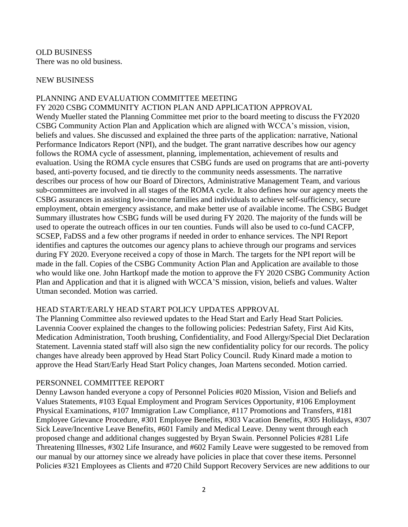OLD BUSINESS There was no old business.

#### NEW BUSINESS

### PLANNING AND EVALUATION COMMITTEE MEETING

FY 2020 CSBG COMMUNITY ACTION PLAN AND APPLICATION APPROVAL Wendy Mueller stated the Planning Committee met prior to the board meeting to discuss the FY2020 CSBG Community Action Plan and Application which are aligned with WCCA's mission, vision, beliefs and values. She discussed and explained the three parts of the application: narrative, National Performance Indicators Report (NPI), and the budget. The grant narrative describes how our agency follows the ROMA cycle of assessment, planning, implementation, achievement of results and evaluation. Using the ROMA cycle ensures that CSBG funds are used on programs that are anti-poverty based, anti-poverty focused, and tie directly to the community needs assessments. The narrative describes our process of how our Board of Directors, Administrative Management Team, and various sub-committees are involved in all stages of the ROMA cycle. It also defines how our agency meets the CSBG assurances in assisting low-income families and individuals to achieve self-sufficiency, secure employment, obtain emergency assistance, and make better use of available income. The CSBG Budget Summary illustrates how CSBG funds will be used during FY 2020. The majority of the funds will be used to operate the outreach offices in our ten counties. Funds will also be used to co-fund CACFP, SCSEP, FaDSS and a few other programs if needed in order to enhance services. The NPI Report identifies and captures the outcomes our agency plans to achieve through our programs and services during FY 2020. Everyone received a copy of those in March. The targets for the NPI report will be made in the fall. Copies of the CSBG Community Action Plan and Application are available to those who would like one. John Hartkopf made the motion to approve the FY 2020 CSBG Community Action Plan and Application and that it is aligned with WCCA'S mission, vision, beliefs and values. Walter Utman seconded. Motion was carried.

#### HEAD START/EARLY HEAD START POLICY UPDATES APPROVAL

The Planning Committee also reviewed updates to the Head Start and Early Head Start Policies. Lavennia Coover explained the changes to the following policies: Pedestrian Safety, First Aid Kits, Medication Administration, Tooth brushing, Confidentiality, and Food Allergy/Special Diet Declaration Statement. Lavennia stated staff will also sign the new confidentiality policy for our records. The policy changes have already been approved by Head Start Policy Council. Rudy Kinard made a motion to approve the Head Start/Early Head Start Policy changes, Joan Martens seconded. Motion carried.

#### PERSONNEL COMMITTEE REPORT

Denny Lawson handed everyone a copy of Personnel Policies #020 Mission, Vision and Beliefs and Values Statements, #103 Equal Employment and Program Services Opportunity, #106 Employment Physical Examinations, #107 Immigration Law Compliance, #117 Promotions and Transfers, #181 Employee Grievance Procedure, #301 Employee Benefits, #303 Vacation Benefits, #305 Holidays, #307 Sick Leave/Incentive Leave Benefits, #601 Family and Medical Leave. Denny went through each proposed change and additional changes suggested by Bryan Swain. Personnel Policies #281 Life Threatening Illnesses, #302 Life Insurance, and #602 Family Leave were suggested to be removed from our manual by our attorney since we already have policies in place that cover these items. Personnel Policies #321 Employees as Clients and #720 Child Support Recovery Services are new additions to our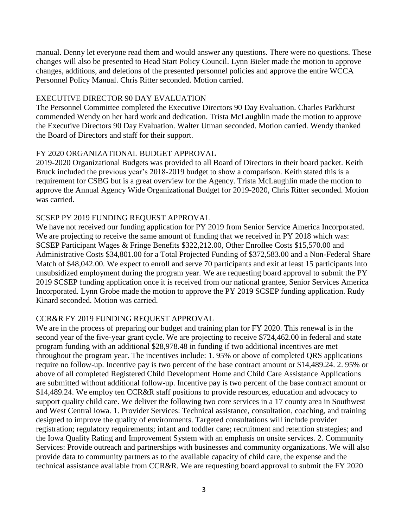manual. Denny let everyone read them and would answer any questions. There were no questions. These changes will also be presented to Head Start Policy Council. Lynn Bieler made the motion to approve changes, additions, and deletions of the presented personnel policies and approve the entire WCCA Personnel Policy Manual. Chris Ritter seconded. Motion carried.

# EXECUTIVE DIRECTOR 90 DAY EVALUATION

The Personnel Committee completed the Executive Directors 90 Day Evaluation. Charles Parkhurst commended Wendy on her hard work and dedication. Trista McLaughlin made the motion to approve the Executive Directors 90 Day Evaluation. Walter Utman seconded. Motion carried. Wendy thanked the Board of Directors and staff for their support.

# FY 2020 ORGANIZATIONAL BUDGET APPROVAL

2019-2020 Organizational Budgets was provided to all Board of Directors in their board packet. Keith Bruck included the previous year's 2018-2019 budget to show a comparison. Keith stated this is a requirement for CSBG but is a great overview for the Agency. Trista McLaughlin made the motion to approve the Annual Agency Wide Organizational Budget for 2019-2020, Chris Ritter seconded. Motion was carried.

# SCSEP PY 2019 FUNDING REQUEST APPROVAL

We have not received our funding application for PY 2019 from Senior Service America Incorporated. We are projecting to receive the same amount of funding that we received in PY 2018 which was: SCSEP Participant Wages & Fringe Benefits \$322,212.00, Other Enrollee Costs \$15,570.00 and Administrative Costs \$34,801.00 for a Total Projected Funding of \$372,583.00 and a Non-Federal Share Match of \$48,042.00. We expect to enroll and serve 70 participants and exit at least 15 participants into unsubsidized employment during the program year. We are requesting board approval to submit the PY 2019 SCSEP funding application once it is received from our national grantee, Senior Services America Incorporated. Lynn Grobe made the motion to approve the PY 2019 SCSEP funding application. Rudy Kinard seconded. Motion was carried.

# CCR&R FY 2019 FUNDING REQUEST APPROVAL

We are in the process of preparing our budget and training plan for FY 2020. This renewal is in the second year of the five-year grant cycle. We are projecting to receive \$724,462.00 in federal and state program funding with an additional \$28,978.48 in funding if two additional incentives are met throughout the program year. The incentives include: 1. 95% or above of completed QRS applications require no follow-up. Incentive pay is two percent of the base contract amount or \$14,489.24. 2. 95% or above of all completed Registered Child Development Home and Child Care Assistance Applications are submitted without additional follow-up. Incentive pay is two percent of the base contract amount or \$14,489.24. We employ ten CCR&R staff positions to provide resources, education and advocacy to support quality child care. We deliver the following two core services in a 17 county area in Southwest and West Central Iowa. 1. Provider Services: Technical assistance, consultation, coaching, and training designed to improve the quality of environments. Targeted consultations will include provider registration; regulatory requirements; infant and toddler care; recruitment and retention strategies; and the Iowa Quality Rating and Improvement System with an emphasis on onsite services. 2. Community Services: Provide outreach and partnerships with businesses and community organizations. We will also provide data to community partners as to the available capacity of child care, the expense and the technical assistance available from CCR&R. We are requesting board approval to submit the FY 2020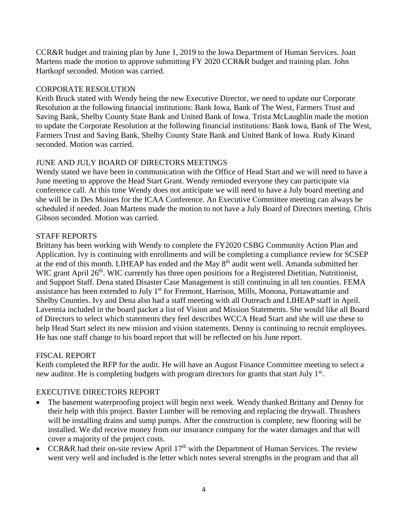CCR&R budget and training plan by June 1, 2019 to the Iowa Department of Human Services. Joan Martens made the motion to approve submitting FY 2020 CCR&R budget and training plan. John Hartkopf seconded. Motion was carried.

# CORPORATE RESOLUTION

Keith Bruck stated with Wendy being the new Executive Director, we need to update our Corporate Resolution at the following financial institutions: Bank Iowa, Bank of The West, Farmers Trust and Saving Bank, Shelby County State Bank and United Bank of Iowa. Trista McLaughlin made the motion to update the Corporate Resolution at the following financial institutions: Bank Iowa, Bank of The West, Farmers Trust and Saving Bank, Shelby County State Bank and United Bank of Iowa. Rudy Kinard seconded. Motion was carried.

# JUNE AND JULY BOARD OF DIRECTORS MEETINGS

Wendy stated we have been in communication with the Office of Head Start and we will need to have a June meeting to approve the Head Start Grant. Wendy reminded everyone they can participate via conference call. At this time Wendy does not anticipate we will need to have a July board meeting and she will be in Des Moines for the ICAA Conference. An Executive Committee meeting can always be scheduled if needed. Joan Martens made the motion to not have a July Board of Directors meeting. Chris Gibson seconded. Motion was carried.

# STAFF REPORTS

Brittany has been working with Wendy to complete the FY2020 CSBG Community Action Plan and Application. Ivy is continuing with enrollments and will be completing a compliance review for SCSEP at the end of this month. LIHEAP has ended and the May 8th audit went well. Amanda submitted her WIC grant April 26<sup>th</sup>. WIC currently has three open positions for a Registered Dietitian, Nutritionist, and Support Staff. Dena stated Disaster Case Management is still continuing in all ten counties. FEMA assistance has been extended to July 1<sup>st</sup> for Fremont, Harrison, Mills, Monona, Pottawattamie and Shelby Counties. Ivy and Dena also had a staff meeting with all Outreach and LIHEAP staff in April. Lavennia included in the board packet a list of Vision and Mission Statements. She would like all Board of Directors to select which statements they feel describes WCCA Head Start and she will use these to help Head Start select its new mission and vision statements. Denny is continuing to recruit employees. He has one staff change to his board report that will be reflected on his June report.

# FISCAL REPORT

Keith completed the RFP for the audit. He will have an August Finance Committee meeting to select a new auditor. He is completing budgets with program directors for grants that start July 1<sup>st</sup>.

# EXECUTIVE DIRECTORS REPORT

- The basement waterproofing project will begin next week. Wendy thanked Brittany and Denny for their help with this project. Baxter Lumber will be removing and replacing the drywall. Thrashers will be installing drains and sump pumps. After the construction is complete, new flooring will be installed. We did receive money from our insurance company for the water damages and that will cover a majority of the project costs.
- CCR&R had their on-site review April  $17<sup>th</sup>$  with the Department of Human Services. The review went very well and included is the letter which notes several strengths in the program and that all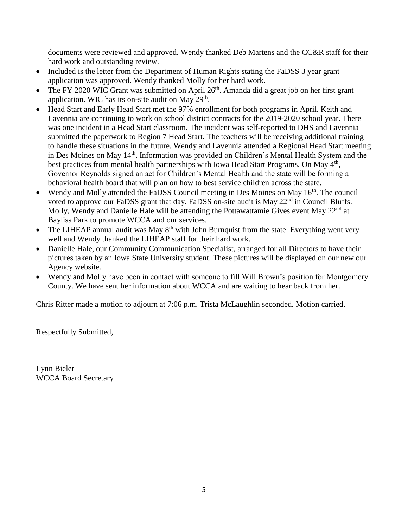documents were reviewed and approved. Wendy thanked Deb Martens and the CC&R staff for their hard work and outstanding review.

- Included is the letter from the Department of Human Rights stating the FaDSS 3 year grant application was approved. Wendy thanked Molly for her hard work.
- The FY 2020 WIC Grant was submitted on April 26<sup>th</sup>. Amanda did a great job on her first grant application. WIC has its on-site audit on May  $29<sup>th</sup>$ .
- Head Start and Early Head Start met the 97% enrollment for both programs in April. Keith and Lavennia are continuing to work on school district contracts for the 2019-2020 school year. There was one incident in a Head Start classroom. The incident was self-reported to DHS and Lavennia submitted the paperwork to Region 7 Head Start. The teachers will be receiving additional training to handle these situations in the future. Wendy and Lavennia attended a Regional Head Start meeting in Des Moines on May 14<sup>th</sup>. Information was provided on Children's Mental Health System and the best practices from mental health partnerships with Iowa Head Start Programs. On May 4<sup>th</sup>, Governor Reynolds signed an act for Children's Mental Health and the state will be forming a behavioral health board that will plan on how to best service children across the state.
- Wendy and Molly attended the FaDSS Council meeting in Des Moines on May  $16<sup>th</sup>$ . The council voted to approve our FaDSS grant that day. FaDSS on-site audit is May 22<sup>nd</sup> in Council Bluffs. Molly, Wendy and Danielle Hale will be attending the Pottawattamie Gives event May 22<sup>nd</sup> at Bayliss Park to promote WCCA and our services.
- The LIHEAP annual audit was May 8<sup>th</sup> with John Burnquist from the state. Everything went very well and Wendy thanked the LIHEAP staff for their hard work.
- Danielle Hale, our Community Communication Specialist, arranged for all Directors to have their pictures taken by an Iowa State University student. These pictures will be displayed on our new our Agency website.
- Wendy and Molly have been in contact with someone to fill Will Brown's position for Montgomery County. We have sent her information about WCCA and are waiting to hear back from her.

Chris Ritter made a motion to adjourn at 7:06 p.m. Trista McLaughlin seconded. Motion carried.

Respectfully Submitted,

Lynn Bieler WCCA Board Secretary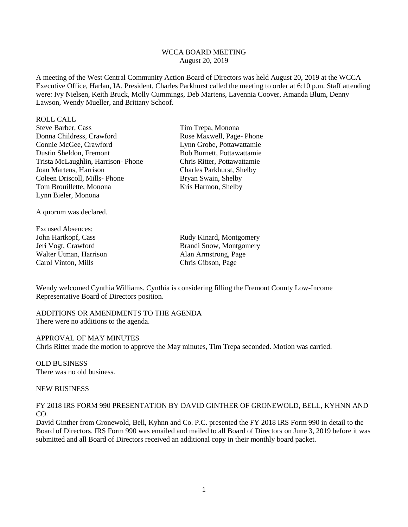#### WCCA BOARD MEETING August 20, 2019

A meeting of the West Central Community Action Board of Directors was held August 20, 2019 at the WCCA Executive Office, Harlan, IA. President, Charles Parkhurst called the meeting to order at 6:10 p.m. Staff attending were: Ivy Nielsen, Keith Bruck, Molly Cummings, Deb Martens, Lavennia Coover, Amanda Blum, Denny Lawson, Wendy Mueller, and Brittany Schoof.

| <b>ROLL CALL</b>                  |
|-----------------------------------|
| Steve Barber, Cass                |
| Donna Childress, Crawford         |
| Connie McGee, Crawford            |
| Dustin Sheldon, Fremont           |
| Trista McLaughlin, Harrison-Phone |
| Joan Martens, Harrison            |
| Coleen Driscoll, Mills-Phone      |
| Tom Brouillette, Monona           |
| Lynn Bieler, Monona               |

A quorum was declared.

Excused Absences: Walter Utman, Harrison Alan Armstrong, Page Carol Vinton, Mills Chris Gibson, Page

Tim Trepa, Monona Rose Maxwell, Page- Phone Lynn Grobe, Pottawattamie Bob Burnett, Pottawattamie Chris Ritter, Pottawattamie Charles Parkhurst, Shelby Bryan Swain, Shelby Kris Harmon, Shelby

John Hartkopf, Cass Rudy Kinard, Montgomery Jeri Vogt, Crawford Brandi Snow, Montgomery

Wendy welcomed Cynthia Williams. Cynthia is considering filling the Fremont County Low-Income Representative Board of Directors position.

ADDITIONS OR AMENDMENTS TO THE AGENDA There were no additions to the agenda.

APPROVAL OF MAY MINUTES Chris Ritter made the motion to approve the May minutes, Tim Trepa seconded. Motion was carried.

OLD BUSINESS There was no old business.

#### NEW BUSINESS

FY 2018 IRS FORM 990 PRESENTATION BY DAVID GINTHER OF GRONEWOLD, BELL, KYHNN AND CO.

David Ginther from Gronewold, Bell, Kyhnn and Co. P.C. presented the FY 2018 IRS Form 990 in detail to the Board of Directors. IRS Form 990 was emailed and mailed to all Board of Directors on June 3, 2019 before it was submitted and all Board of Directors received an additional copy in their monthly board packet.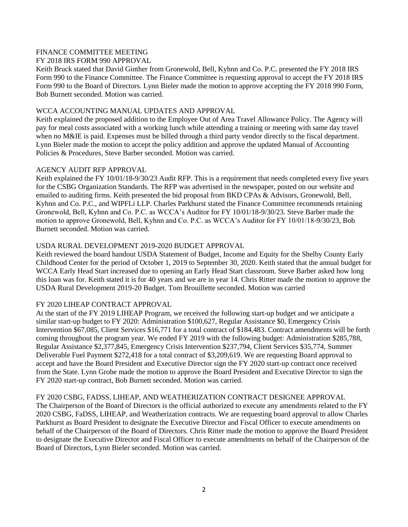#### FINANCE COMMITTEE MEETING

#### FY 2018 IRS FORM 990 APPROVAL

Keith Bruck stated that David Ginther from Gronewold, Bell, Kyhnn and Co. P.C. presented the FY 2018 IRS Form 990 to the Finance Committee. The Finance Committee is requesting approval to accept the FY 2018 IRS Form 990 to the Board of Directors. Lynn Bieler made the motion to approve accepting the FY 2018 990 Form, Bob Burnett seconded. Motion was carried.

#### WCCA ACCOUNTING MANUAL UPDATES AND APPROVAL

Keith explained the proposed addition to the Employee Out of Area Travel Allowance Policy. The Agency will pay for meal costs associated with a working lunch while attending a training or meeting with same day travel when no M&IE is paid. Expenses must be billed through a third party vendor directly to the fiscal department. Lynn Bieler made the motion to accept the policy addition and approve the updated Manual of Accounting Policies & Procedures, Steve Barber seconded. Motion was carried.

#### AGENCY AUDIT RFP APPROVAL

Keith explained the FY 10/01/18-9/30/23 Audit RFP. This is a requirement that needs completed every five years for the CSBG Organization Standards. The RFP was advertised in the newspaper, posted on our website and emailed to auditing firms. Keith presented the bid proposal from BKD CPAs & Advisors, Gronewold, Bell, Kyhnn and Co. P.C., and WIPFLi LLP. Charles Parkhurst stated the Finance Committee recommends retaining Gronewold, Bell, Kyhnn and Co. P.C. as WCCA's Auditor for FY 10/01/18-9/30/23. Steve Barber made the motion to approve Gronewold, Bell, Kyhnn and Co. P.C. as WCCA's Auditor for FY 10/01/18-9/30/23, Bob Burnett seconded. Motion was carried.

#### USDA RURAL DEVELOPMENT 2019-2020 BUDGET APPROVAL

Keith reviewed the board handout USDA Statement of Budget, Income and Equity for the Shelby County Early Childhood Center for the period of October 1, 2019 to September 30, 2020. Keith stated that the annual budget for WCCA Early Head Start increased due to opening an Early Head Start classroom. Steve Barber asked how long this loan was for. Keith stated it is for 40 years and we are in year 14. Chris Ritter made the motion to approve the USDA Rural Development 2019-20 Budget. Tom Brouillette seconded. Motion was carried

#### FY 2020 LIHEAP CONTRACT APPROVAL

At the start of the FY 2019 LIHEAP Program, we received the following start-up budget and we anticipate a similar start-up budget to FY 2020: Administration \$100,627, Regular Assistance \$0, Emergency Crisis Intervention \$67,085, Client Services \$16,771 for a total contract of \$184,483. Contract amendments will be forth coming throughout the program year. We ended FY 2019 with the following budget: Administration \$285,788, Regular Assistance \$2,377,845, Emergency Crisis Intervention \$237,794, Client Services \$35,774, Summer Deliverable Fuel Payment \$272,418 for a total contract of \$3,209,619. We are requesting Board approval to accept and have the Board President and Executive Director sign the FY 2020 start-up contract once received from the State. Lynn Grobe made the motion to approve the Board President and Executive Director to sign the FY 2020 start-up contract, Bob Burnett seconded. Motion was carried.

#### FY 2020 CSBG, FADSS, LIHEAP, AND WEATHERIZATION CONTRACT DESIGNEE APPROVAL

The Chairperson of the Board of Directors is the official authorized to execute any amendments related to the FY 2020 CSBG, FaDSS, LIHEAP, and Weatherization contracts. We are requesting board approval to allow Charles Parkhurst as Board President to designate the Executive Director and Fiscal Officer to execute amendments on behalf of the Chairperson of the Board of Directors. Chris Ritter made the motion to approve the Board President to designate the Executive Director and Fiscal Officer to execute amendments on behalf of the Chairperson of the Board of Directors, Lynn Bieler seconded. Motion was carried.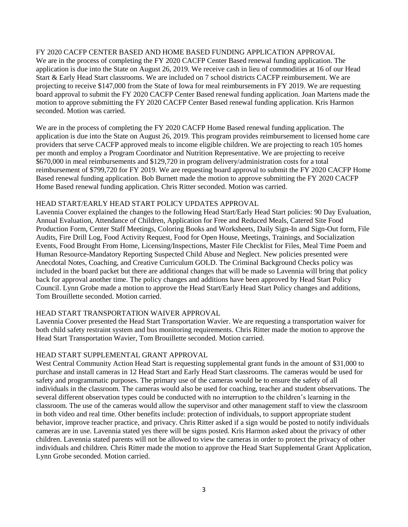#### FY 2020 CACFP CENTER BASED AND HOME BASED FUNDING APPLICATION APPROVAL

We are in the process of completing the FY 2020 CACFP Center Based renewal funding application. The application is due into the State on August 26, 2019. We receive cash in lieu of commodities at 16 of our Head Start & Early Head Start classrooms. We are included on 7 school districts CACFP reimbursement. We are projecting to receive \$147,000 from the State of Iowa for meal reimbursements in FY 2019. We are requesting board approval to submit the FY 2020 CACFP Center Based renewal funding application. Joan Martens made the motion to approve submitting the FY 2020 CACFP Center Based renewal funding application. Kris Harmon seconded. Motion was carried.

We are in the process of completing the FY 2020 CACFP Home Based renewal funding application. The application is due into the State on August 26, 2019. This program provides reimbursement to licensed home care providers that serve CACFP approved meals to income eligible children. We are projecting to reach 105 homes per month and employ a Program Coordinator and Nutrition Representative. We are projecting to receive \$670,000 in meal reimbursements and \$129,720 in program delivery/administration costs for a total reimbursement of \$799,720 for FY 2019. We are requesting board approval to submit the FY 2020 CACFP Home Based renewal funding application. Bob Burnett made the motion to approve submitting the FY 2020 CACFP Home Based renewal funding application. Chris Ritter seconded. Motion was carried.

#### HEAD START/EARLY HEAD START POLICY UPDATES APPROVAL

Lavennia Coover explained the changes to the following Head Start/Early Head Start policies: 90 Day Evaluation, Annual Evaluation, Attendance of Children, Application for Free and Reduced Meals, Catered Site Food Production Form, Center Staff Meetings, Coloring Books and Worksheets, Daily Sign-In and Sign-Out form, File Audits, Fire Drill Log, Food Activity Request, Food for Open House, Meetings, Trainings, and Socialization Events, Food Brought From Home, Licensing/Inspections, Master File Checklist for Files, Meal Time Poem and Human Resource-Mandatory Reporting Suspected Child Abuse and Neglect. New policies presented were Anecdotal Notes, Coaching, and Creative Curriculum GOLD. The Criminal Background Checks policy was included in the board packet but there are additional changes that will be made so Lavennia will bring that policy back for approval another time. The policy changes and additions have been approved by Head Start Policy Council. Lynn Grobe made a motion to approve the Head Start/Early Head Start Policy changes and additions, Tom Brouillette seconded. Motion carried.

#### HEAD START TRANSPORTATION WAIVER APPROVAL

Lavennia Coover presented the Head Start Transportation Wavier. We are requesting a transportation waiver for both child safety restraint system and bus monitoring requirements. Chris Ritter made the motion to approve the Head Start Transportation Wavier, Tom Brouillette seconded. Motion carried.

#### HEAD START SUPPLEMENTAL GRANT APPROVAL

West Central Community Action Head Start is requesting supplemental grant funds in the amount of \$31,000 to purchase and install cameras in 12 Head Start and Early Head Start classrooms. The cameras would be used for safety and programmatic purposes. The primary use of the cameras would be to ensure the safety of all individuals in the classroom. The cameras would also be used for coaching, teacher and student observations. The several different observation types could be conducted with no interruption to the children's learning in the classroom. The use of the cameras would allow the supervisor and other management staff to view the classroom in both video and real time. Other benefits include: protection of individuals, to support appropriate student behavior, improve teacher practice, and privacy. Chris Ritter asked if a sign would be posted to notify individuals cameras are in use. Lavennia stated yes there will be signs posted. Kris Harmon asked about the privacy of other children. Lavennia stated parents will not be allowed to view the cameras in order to protect the privacy of other individuals and children. Chris Ritter made the motion to approve the Head Start Supplemental Grant Application, Lynn Grobe seconded. Motion carried.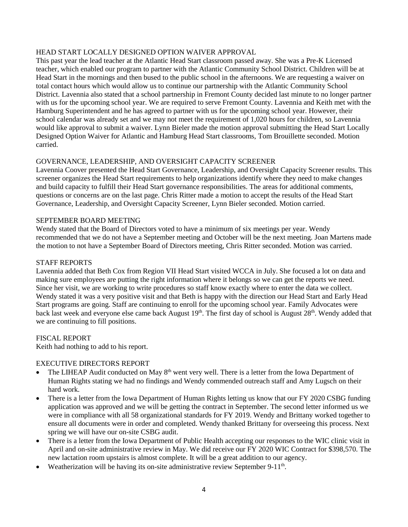#### HEAD START LOCALLY DESIGNED OPTION WAIVER APPROVAL

This past year the lead teacher at the Atlantic Head Start classroom passed away. She was a Pre-K Licensed teacher, which enabled our program to partner with the Atlantic Community School District. Children will be at Head Start in the mornings and then bused to the public school in the afternoons. We are requesting a waiver on total contact hours which would allow us to continue our partnership with the Atlantic Community School District. Lavennia also stated that a school partnership in Fremont County decided last minute to no longer partner with us for the upcoming school year. We are required to serve Fremont County. Lavennia and Keith met with the Hamburg Superintendent and he has agreed to partner with us for the upcoming school year. However, their school calendar was already set and we may not meet the requirement of 1,020 hours for children, so Lavennia would like approval to submit a waiver. Lynn Bieler made the motion approval submitting the Head Start Locally Designed Option Waiver for Atlantic and Hamburg Head Start classrooms, Tom Brouillette seconded. Motion carried.

#### GOVERNANCE, LEADERSHIP, AND OVERSIGHT CAPACITY SCREENER

Lavennia Coover presented the Head Start Governance, Leadership, and Oversight Capacity Screener results. This screener organizes the Head Start requirements to help organizations identify where they need to make changes and build capacity to fulfill their Head Start governance responsibilities. The areas for additional comments, questions or concerns are on the last page. Chris Ritter made a motion to accept the results of the Head Start Governance, Leadership, and Oversight Capacity Screener, Lynn Bieler seconded. Motion carried.

#### SEPTEMBER BOARD MEETING

Wendy stated that the Board of Directors voted to have a minimum of six meetings per year. Wendy recommended that we do not have a September meeting and October will be the next meeting. Joan Martens made the motion to not have a September Board of Directors meeting, Chris Ritter seconded. Motion was carried.

#### STAFF REPORTS

Lavennia added that Beth Cox from Region VII Head Start visited WCCA in July. She focused a lot on data and making sure employees are putting the right information where it belongs so we can get the reports we need. Since her visit, we are working to write procedures so staff know exactly where to enter the data we collect. Wendy stated it was a very positive visit and that Beth is happy with the direction our Head Start and Early Head Start programs are going. Staff are continuing to enroll for the upcoming school year. Family Advocates were back last week and everyone else came back August 19<sup>th</sup>. The first day of school is August 28<sup>th</sup>. Wendy added that we are continuing to fill positions.

#### FISCAL REPORT

Keith had nothing to add to his report.

#### EXECUTIVE DIRECTORS REPORT

- The LIHEAP Audit conducted on May  $8<sup>th</sup>$  went very well. There is a letter from the Iowa Department of Human Rights stating we had no findings and Wendy commended outreach staff and Amy Lugsch on their hard work.
- There is a letter from the Iowa Department of Human Rights letting us know that our FY 2020 CSBG funding application was approved and we will be getting the contract in September. The second letter informed us we were in compliance with all 58 organizational standards for FY 2019. Wendy and Brittany worked together to ensure all documents were in order and completed. Wendy thanked Brittany for overseeing this process. Next spring we will have our on-site CSBG audit.
- There is a letter from the Iowa Department of Public Health accepting our responses to the WIC clinic visit in April and on-site administrative review in May. We did receive our FY 2020 WIC Contract for \$398,570. The new lactation room upstairs is almost complete. It will be a great addition to our agency.
- Weatherization will be having its on-site administrative review September 9-11<sup>th</sup>.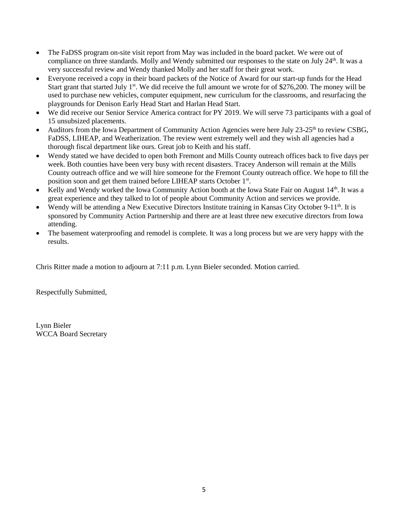- The FaDSS program on-site visit report from May was included in the board packet. We were out of compliance on three standards. Molly and Wendy submitted our responses to the state on July 24<sup>th</sup>. It was a very successful review and Wendy thanked Molly and her staff for their great work.
- Everyone received a copy in their board packets of the Notice of Award for our start-up funds for the Head Start grant that started July 1<sup>st</sup>. We did receive the full amount we wrote for of \$276,200. The money will be used to purchase new vehicles, computer equipment, new curriculum for the classrooms, and resurfacing the playgrounds for Denison Early Head Start and Harlan Head Start.
- We did receive our Senior Service America contract for PY 2019. We will serve 73 participants with a goal of 15 unsubsized placements.
- Auditors from the Iowa Department of Community Action Agencies were here July 23-25<sup>th</sup> to review CSBG, FaDSS, LIHEAP, and Weatherization. The review went extremely well and they wish all agencies had a thorough fiscal department like ours. Great job to Keith and his staff.
- Wendy stated we have decided to open both Fremont and Mills County outreach offices back to five days per week. Both counties have been very busy with recent disasters. Tracey Anderson will remain at the Mills County outreach office and we will hire someone for the Fremont County outreach office. We hope to fill the position soon and get them trained before LIHEAP starts October 1st.
- Kelly and Wendy worked the Iowa Community Action booth at the Iowa State Fair on August 14<sup>th</sup>. It was a great experience and they talked to lot of people about Community Action and services we provide.
- Wendy will be attending a New Executive Directors Institute training in Kansas City October 9-11<sup>th</sup>. It is sponsored by Community Action Partnership and there are at least three new executive directors from Iowa attending.
- The basement waterproofing and remodel is complete. It was a long process but we are very happy with the results.

Chris Ritter made a motion to adjourn at 7:11 p.m. Lynn Bieler seconded. Motion carried.

Respectfully Submitted,

Lynn Bieler WCCA Board Secretary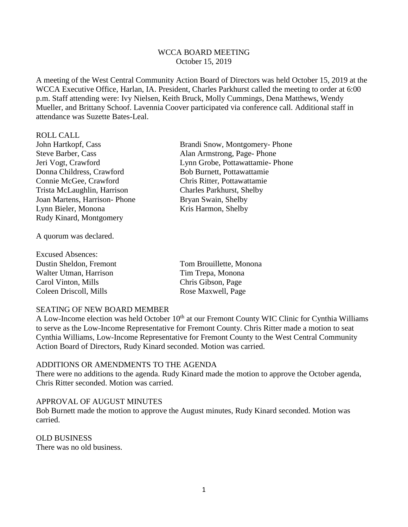# WCCA BOARD MEETING October 15, 2019

A meeting of the West Central Community Action Board of Directors was held October 15, 2019 at the WCCA Executive Office, Harlan, IA. President, Charles Parkhurst called the meeting to order at 6:00 p.m. Staff attending were: Ivy Nielsen, Keith Bruck, Molly Cummings, Dena Matthews, Wendy Mueller, and Brittany Schoof. Lavennia Coover participated via conference call. Additional staff in attendance was Suzette Bates-Leal.

#### ROLL CALL

John Hartkopf, Cass Brandi Snow, Montgomery- Phone Steve Barber, Cass Alan Armstrong, Page- Phone Jeri Vogt, Crawford Lynn Grobe, Pottawattamie- Phone Donna Childress, Crawford Bob Burnett, Pottawattamie Connie McGee, Crawford Chris Ritter, Pottawattamie Trista McLaughlin, Harrison Charles Parkhurst, Shelby Joan Martens, Harrison- Phone Bryan Swain, Shelby Lynn Bieler, Monona Kris Harmon, Shelby Rudy Kinard, Montgomery

A quorum was declared.

| <b>Excused Absences:</b> |                         |
|--------------------------|-------------------------|
| Dustin Sheldon, Fremont  | Tom Brouillette, Monona |
| Walter Utman, Harrison   | Tim Trepa, Monona       |
| Carol Vinton, Mills      | Chris Gibson, Page      |
| Coleen Driscoll, Mills   | Rose Maxwell, Page      |

#### SEATING OF NEW BOARD MEMBER

A Low-Income election was held October 10<sup>th</sup> at our Fremont County WIC Clinic for Cynthia Williams to serve as the Low-Income Representative for Fremont County. Chris Ritter made a motion to seat Cynthia Williams, Low-Income Representative for Fremont County to the West Central Community Action Board of Directors, Rudy Kinard seconded. Motion was carried.

#### ADDITIONS OR AMENDMENTS TO THE AGENDA

There were no additions to the agenda. Rudy Kinard made the motion to approve the October agenda, Chris Ritter seconded. Motion was carried.

#### APPROVAL OF AUGUST MINUTES

Bob Burnett made the motion to approve the August minutes, Rudy Kinard seconded. Motion was carried.

#### OLD BUSINESS

There was no old business.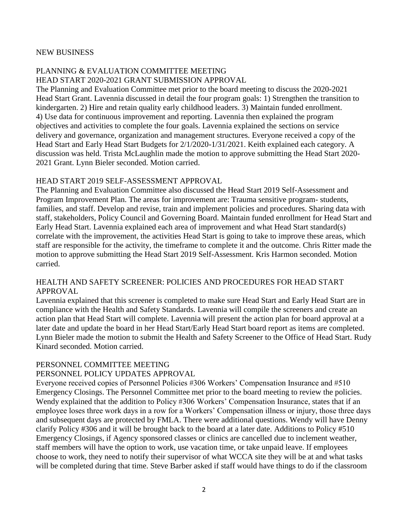### NEW BUSINESS

# PLANNING & EVALUATION COMMITTEE MEETING HEAD START 2020-2021 GRANT SUBMISSION APPROVAL

The Planning and Evaluation Committee met prior to the board meeting to discuss the 2020-2021 Head Start Grant. Lavennia discussed in detail the four program goals: 1) Strengthen the transition to kindergarten. 2) Hire and retain quality early childhood leaders. 3) Maintain funded enrollment. 4) Use data for continuous improvement and reporting. Lavennia then explained the program objectives and activities to complete the four goals. Lavennia explained the sections on service delivery and governance, organization and management structures. Everyone received a copy of the Head Start and Early Head Start Budgets for 2/1/2020-1/31/2021. Keith explained each category. A discussion was held. Trista McLaughlin made the motion to approve submitting the Head Start 2020- 2021 Grant. Lynn Bieler seconded. Motion carried.

# HEAD START 2019 SELF-ASSESSMENT APPROVAL

The Planning and Evaluation Committee also discussed the Head Start 2019 Self-Assessment and Program Improvement Plan. The areas for improvement are: Trauma sensitive program- students, families, and staff. Develop and revise, train and implement policies and procedures. Sharing data with staff, stakeholders, Policy Council and Governing Board. Maintain funded enrollment for Head Start and Early Head Start. Lavennia explained each area of improvement and what Head Start standard(s) correlate with the improvement, the activities Head Start is going to take to improve these areas, which staff are responsible for the activity, the timeframe to complete it and the outcome. Chris Ritter made the motion to approve submitting the Head Start 2019 Self-Assessment. Kris Harmon seconded. Motion carried.

# HEALTH AND SAFETY SCREENER: POLICIES AND PROCEDURES FOR HEAD START APPROVAL

Lavennia explained that this screener is completed to make sure Head Start and Early Head Start are in compliance with the Health and Safety Standards. Lavennia will compile the screeners and create an action plan that Head Start will complete. Lavennia will present the action plan for board approval at a later date and update the board in her Head Start/Early Head Start board report as items are completed. Lynn Bieler made the motion to submit the Health and Safety Screener to the Office of Head Start. Rudy Kinard seconded. Motion carried.

# PERSONNEL COMMITTEE MEETING

#### PERSONNEL POLICY UPDATES APPROVAL

Everyone received copies of Personnel Policies #306 Workers' Compensation Insurance and #510 Emergency Closings. The Personnel Committee met prior to the board meeting to review the policies. Wendy explained that the addition to Policy #306 Workers' Compensation Insurance, states that if an employee loses three work days in a row for a Workers' Compensation illness or injury, those three days and subsequent days are protected by FMLA. There were additional questions. Wendy will have Denny clarify Policy #306 and it will be brought back to the board at a later date. Additions to Policy #510 Emergency Closings, if Agency sponsored classes or clinics are cancelled due to inclement weather, staff members will have the option to work, use vacation time, or take unpaid leave. If employees choose to work, they need to notify their supervisor of what WCCA site they will be at and what tasks will be completed during that time. Steve Barber asked if staff would have things to do if the classroom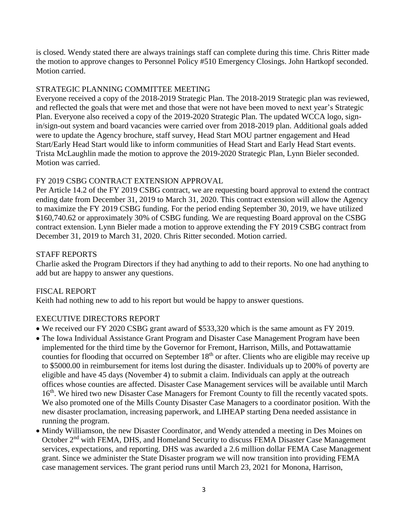is closed. Wendy stated there are always trainings staff can complete during this time. Chris Ritter made the motion to approve changes to Personnel Policy #510 Emergency Closings. John Hartkopf seconded. Motion carried.

# STRATEGIC PLANNING COMMITTEE MEETING

Everyone received a copy of the 2018-2019 Strategic Plan. The 2018-2019 Strategic plan was reviewed, and reflected the goals that were met and those that were not have been moved to next year's Strategic Plan. Everyone also received a copy of the 2019-2020 Strategic Plan. The updated WCCA logo, signin/sign-out system and board vacancies were carried over from 2018-2019 plan. Additional goals added were to update the Agency brochure, staff survey, Head Start MOU partner engagement and Head Start/Early Head Start would like to inform communities of Head Start and Early Head Start events. Trista McLaughlin made the motion to approve the 2019-2020 Strategic Plan, Lynn Bieler seconded. Motion was carried.

# FY 2019 CSBG CONTRACT EXTENSION APPROVAL

Per Article 14.2 of the FY 2019 CSBG contract, we are requesting board approval to extend the contract ending date from December 31, 2019 to March 31, 2020. This contract extension will allow the Agency to maximize the FY 2019 CSBG funding. For the period ending September 30, 2019, we have utilized \$160,740.62 or approximately 30% of CSBG funding. We are requesting Board approval on the CSBG contract extension. Lynn Bieler made a motion to approve extending the FY 2019 CSBG contract from December 31, 2019 to March 31, 2020. Chris Ritter seconded. Motion carried.

# STAFF REPORTS

Charlie asked the Program Directors if they had anything to add to their reports. No one had anything to add but are happy to answer any questions.

# FISCAL REPORT

Keith had nothing new to add to his report but would be happy to answer questions.

# EXECUTIVE DIRECTORS REPORT

- We received our FY 2020 CSBG grant award of \$533,320 which is the same amount as FY 2019.
- The Iowa Individual Assistance Grant Program and Disaster Case Management Program have been implemented for the third time by the Governor for Fremont, Harrison, Mills, and Pottawattamie counties for flooding that occurred on September 18<sup>th</sup> or after. Clients who are eligible may receive up to \$5000.00 in reimbursement for items lost during the disaster. Individuals up to 200% of poverty are eligible and have 45 days (November 4) to submit a claim. Individuals can apply at the outreach offices whose counties are affected. Disaster Case Management services will be available until March 16<sup>th</sup>. We hired two new Disaster Case Managers for Fremont County to fill the recently vacated spots. We also promoted one of the Mills County Disaster Case Managers to a coordinator position. With the new disaster proclamation, increasing paperwork, and LIHEAP starting Dena needed assistance in running the program.
- Mindy Williamson, the new Disaster Coordinator, and Wendy attended a meeting in Des Moines on October 2<sup>nd</sup> with FEMA, DHS, and Homeland Security to discuss FEMA Disaster Case Management services, expectations, and reporting. DHS was awarded a 2.6 million dollar FEMA Case Management grant. Since we administer the State Disaster program we will now transition into providing FEMA case management services. The grant period runs until March 23, 2021 for Monona, Harrison,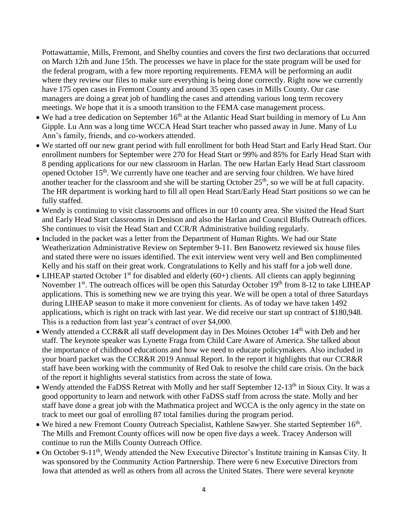Pottawattamie, Mills, Fremont, and Shelby counties and covers the first two declarations that occurred on March 12th and June 15th. The processes we have in place for the state program will be used for the federal program, with a few more reporting requirements. FEMA will be performing an audit where they review our files to make sure everything is being done correctly. Right now we currently have 175 open cases in Fremont County and around 35 open cases in Mills County. Our case managers are doing a great job of handling the cases and attending various long term recovery meetings. We hope that it is a smooth transition to the FEMA case management process.

- $\bullet$  We had a tree dedication on September 16<sup>th</sup> at the Atlantic Head Start building in memory of Lu Ann Gipple. Lu Ann was a long time WCCA Head Start teacher who passed away in June. Many of Lu Ann's family, friends, and co-workers attended.
- We started off our new grant period with full enrollment for both Head Start and Early Head Start. Our enrollment numbers for September were 270 for Head Start or 99% and 85% for Early Head Start with 8 pending applications for our new classroom in Harlan. The new Harlan Early Head Start classroom opened October 15<sup>th</sup>. We currently have one teacher and are serving four children. We have hired another teacher for the classroom and she will be starting October  $25<sup>th</sup>$ , so we will be at full capacity. The HR department is working hard to fill all open Head Start/Early Head Start positions so we can be fully staffed.
- Wendy is continuing to visit classrooms and offices in our 10 county area. She visited the Head Start and Early Head Start classrooms in Denison and also the Harlan and Council Bluffs Outreach offices. She continues to visit the Head Start and CCR/R Administrative building regularly.
- Included in the packet was a letter from the Department of Human Rights. We had our State Weatherization Administrative Review on September 9-11. Ben Banowetz reviewed six house files and stated there were no issues identified. The exit interview went very well and Ben complimented Kelly and his staff on their great work. Congratulations to Kelly and his staff for a job well done.
- LIHEAP started October 1<sup>st</sup> for disabled and elderly  $(60+)$  clients. All clients can apply beginning November 1<sup>st</sup>. The outreach offices will be open this Saturday October 19<sup>th</sup> from 8-12 to take LIHEAP applications. This is something new we are trying this year. We will be open a total of three Saturdays during LIHEAP season to make it more convenient for clients. As of today we have taken 1492 applications, which is right on track with last year. We did receive our start up contract of \$180,948. This is a reduction from last year's contract of over \$4,000.
- Wendy attended a CCR&R all staff development day in Des Moines October 14<sup>th</sup> with Deb and her staff. The keynote speaker was Lynette Fraga from Child Care Aware of America. She talked about the importance of childhood educations and how we need to educate policymakers. Also included in your board packet was the CCR&R 2019 Annual Report. In the report it highlights that our CCR&R staff have been working with the community of Red Oak to resolve the child care crisis. On the back of the report it highlights several statistics from across the state of Iowa.
- Wendy attended the FaDSS Retreat with Molly and her staff September  $12-13<sup>th</sup>$  in Sioux City. It was a good opportunity to learn and network with other FaDSS staff from across the state. Molly and her staff have done a great job with the Mathmatica project and WCCA is the only agency in the state on track to meet our goal of enrolling 87 total families during the program period.
- We hired a new Fremont County Outreach Specialist, Kathlene Sawyer. She started September 16<sup>th</sup>. The Mills and Fremont County offices will now be open five days a week. Tracey Anderson will continue to run the Mills County Outreach Office.
- On October 9-11<sup>th</sup>, Wendy attended the New Executive Director's Institute training in Kansas City. It was sponsored by the Community Action Partnership. There were 6 new Executive Directors from Iowa that attended as well as others from all across the United States. There were several keynote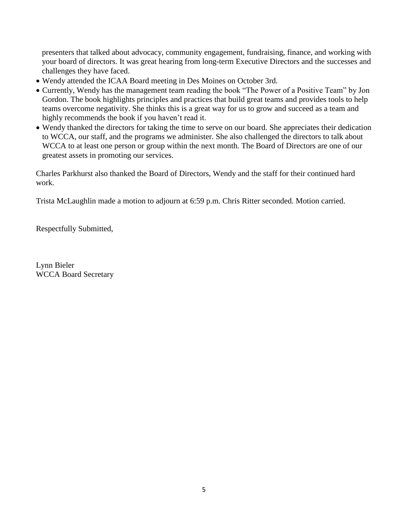presenters that talked about advocacy, community engagement, fundraising, finance, and working with your board of directors. It was great hearing from long-term Executive Directors and the successes and challenges they have faced.

- Wendy attended the ICAA Board meeting in Des Moines on October 3rd.
- Currently, Wendy has the management team reading the book "The Power of a Positive Team" by Jon Gordon. The book highlights principles and practices that build great teams and provides tools to help teams overcome negativity. She thinks this is a great way for us to grow and succeed as a team and highly recommends the book if you haven't read it.
- Wendy thanked the directors for taking the time to serve on our board. She appreciates their dedication to WCCA, our staff, and the programs we administer. She also challenged the directors to talk about WCCA to at least one person or group within the next month. The Board of Directors are one of our greatest assets in promoting our services.

Charles Parkhurst also thanked the Board of Directors, Wendy and the staff for their continued hard work.

Trista McLaughlin made a motion to adjourn at 6:59 p.m. Chris Ritter seconded. Motion carried.

Respectfully Submitted,

Lynn Bieler WCCA Board Secretary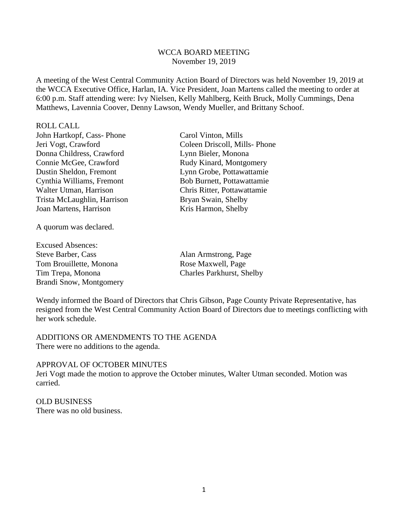### WCCA BOARD MEETING November 19, 2019

A meeting of the West Central Community Action Board of Directors was held November 19, 2019 at the WCCA Executive Office, Harlan, IA. Vice President, Joan Martens called the meeting to order at 6:00 p.m. Staff attending were: Ivy Nielsen, Kelly Mahlberg, Keith Bruck, Molly Cummings, Dena Matthews, Lavennia Coover, Denny Lawson, Wendy Mueller, and Brittany Schoof.

ROLL CALL

John Hartkopf, Cass- Phone Carol Vinton, Mills<br>Jeri Vogt, Crawford Coleen Driscoll, Mil Donna Childress, Crawford Lynn Bieler, Monona Connie McGee, Crawford Rudy Kinard, Montgomery Dustin Sheldon, Fremont Lynn Grobe, Pottawattamie Cynthia Williams, Fremont Bob Burnett, Pottawattamie Walter Utman, Harrison Chris Ritter, Pottawattamie Trista McLaughlin, Harrison Bryan Swain, Shelby Joan Martens, Harrison Kris Harmon, Shelby

A quorum was declared.

Excused Absences: Steve Barber, Cass Alan Armstrong, Page Tom Brouillette, Monona Rose Maxwell, Page Tim Trepa, Monona Charles Parkhurst, Shelby Brandi Snow, Montgomery

Coleen Driscoll, Mills- Phone

Wendy informed the Board of Directors that Chris Gibson, Page County Private Representative, has resigned from the West Central Community Action Board of Directors due to meetings conflicting with her work schedule.

ADDITIONS OR AMENDMENTS TO THE AGENDA There were no additions to the agenda.

#### APPROVAL OF OCTOBER MINUTES

Jeri Vogt made the motion to approve the October minutes, Walter Utman seconded. Motion was carried.

OLD BUSINESS There was no old business.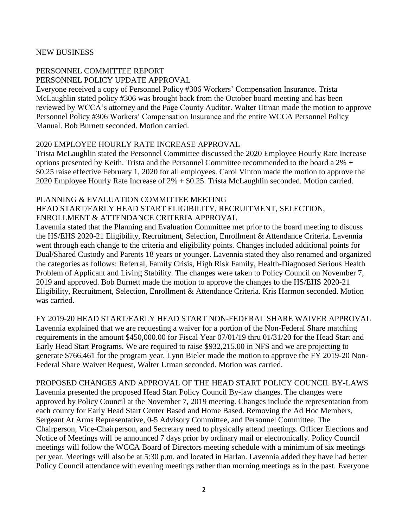#### NEW BUSINESS

# PERSONNEL COMMITTEE REPORT

PERSONNEL POLICY UPDATE APPROVAL

Everyone received a copy of Personnel Policy #306 Workers' Compensation Insurance. Trista McLaughlin stated policy #306 was brought back from the October board meeting and has been reviewed by WCCA's attorney and the Page County Auditor. Walter Utman made the motion to approve Personnel Policy #306 Workers' Compensation Insurance and the entire WCCA Personnel Policy Manual. Bob Burnett seconded. Motion carried.

# 2020 EMPLOYEE HOURLY RATE INCREASE APPROVAL

Trista McLaughlin stated the Personnel Committee discussed the 2020 Employee Hourly Rate Increase options presented by Keith. Trista and the Personnel Committee recommended to the board a 2% + \$0.25 raise effective February 1, 2020 for all employees. Carol Vinton made the motion to approve the 2020 Employee Hourly Rate Increase of 2% + \$0.25. Trista McLaughlin seconded. Motion carried.

# PLANNING & EVALUATION COMMITTEE MEETING

### HEAD START/EARLY HEAD START ELIGIBILITY, RECRUITMENT, SELECTION, ENROLLMENT & ATTENDANCE CRITERIA APPROVAL

Lavennia stated that the Planning and Evaluation Committee met prior to the board meeting to discuss the HS/EHS 2020-21 Eligibility, Recruitment, Selection, Enrollment & Attendance Criteria. Lavennia went through each change to the criteria and eligibility points. Changes included additional points for Dual/Shared Custody and Parents 18 years or younger. Lavennia stated they also renamed and organized the categories as follows: Referral, Family Crisis, High Risk Family, Health-Diagnosed Serious Health Problem of Applicant and Living Stability. The changes were taken to Policy Council on November 7, 2019 and approved. Bob Burnett made the motion to approve the changes to the HS/EHS 2020-21 Eligibility, Recruitment, Selection, Enrollment & Attendance Criteria. Kris Harmon seconded. Motion was carried.

FY 2019-20 HEAD START/EARLY HEAD START NON-FEDERAL SHARE WAIVER APPROVAL Lavennia explained that we are requesting a waiver for a portion of the Non-Federal Share matching requirements in the amount \$450,000.00 for Fiscal Year 07/01/19 thru 01/31/20 for the Head Start and Early Head Start Programs. We are required to raise \$932,215.00 in NFS and we are projecting to generate \$766,461 for the program year. Lynn Bieler made the motion to approve the FY 2019-20 Non-Federal Share Waiver Request, Walter Utman seconded. Motion was carried.

PROPOSED CHANGES AND APPROVAL OF THE HEAD START POLICY COUNCIL BY-LAWS Lavennia presented the proposed Head Start Policy Council By-law changes. The changes were approved by Policy Council at the November 7, 2019 meeting. Changes include the representation from each county for Early Head Start Center Based and Home Based. Removing the Ad Hoc Members, Sergeant At Arms Representative, 0-5 Advisory Committee, and Personnel Committee. The Chairperson, Vice-Chairperson, and Secretary need to physically attend meetings. Officer Elections and Notice of Meetings will be announced 7 days prior by ordinary mail or electronically. Policy Council meetings will follow the WCCA Board of Directors meeting schedule with a minimum of six meetings per year. Meetings will also be at 5:30 p.m. and located in Harlan. Lavennia added they have had better Policy Council attendance with evening meetings rather than morning meetings as in the past. Everyone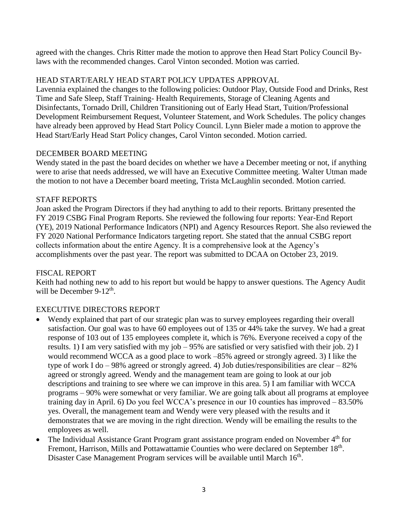agreed with the changes. Chris Ritter made the motion to approve then Head Start Policy Council Bylaws with the recommended changes. Carol Vinton seconded. Motion was carried.

# HEAD START/EARLY HEAD START POLICY UPDATES APPROVAL

Lavennia explained the changes to the following policies: Outdoor Play, Outside Food and Drinks, Rest Time and Safe Sleep, Staff Training- Health Requirements, Storage of Cleaning Agents and Disinfectants, Tornado Drill, Children Transitioning out of Early Head Start, Tuition/Professional Development Reimbursement Request, Volunteer Statement, and Work Schedules. The policy changes have already been approved by Head Start Policy Council. Lynn Bieler made a motion to approve the Head Start/Early Head Start Policy changes, Carol Vinton seconded. Motion carried.

# DECEMBER BOARD MEETING

Wendy stated in the past the board decides on whether we have a December meeting or not, if anything were to arise that needs addressed, we will have an Executive Committee meeting. Walter Utman made the motion to not have a December board meeting, Trista McLaughlin seconded. Motion carried.

# STAFF REPORTS

Joan asked the Program Directors if they had anything to add to their reports. Brittany presented the FY 2019 CSBG Final Program Reports. She reviewed the following four reports: Year-End Report (YE), 2019 National Performance Indicators (NPI) and Agency Resources Report. She also reviewed the FY 2020 National Performance Indicators targeting report. She stated that the annual CSBG report collects information about the entire Agency. It is a comprehensive look at the Agency's accomplishments over the past year. The report was submitted to DCAA on October 23, 2019.

# FISCAL REPORT

Keith had nothing new to add to his report but would be happy to answer questions. The Agency Audit will be December  $9-12^{\text{th}}$ .

# EXECUTIVE DIRECTORS REPORT

- Wendy explained that part of our strategic plan was to survey employees regarding their overall satisfaction. Our goal was to have 60 employees out of 135 or 44% take the survey. We had a great response of 103 out of 135 employees complete it, which is 76%. Everyone received a copy of the results. 1) I am very satisfied with my job – 95% are satisfied or very satisfied with their job. 2) I would recommend WCCA as a good place to work –85% agreed or strongly agreed. 3) I like the type of work I do – 98% agreed or strongly agreed. 4) Job duties/responsibilities are clear – 82% agreed or strongly agreed. Wendy and the management team are going to look at our job descriptions and training to see where we can improve in this area. 5) I am familiar with WCCA programs – 90% were somewhat or very familiar. We are going talk about all programs at employee training day in April. 6) Do you feel WCCA's presence in our 10 counties has improved – 83.50% yes. Overall, the management team and Wendy were very pleased with the results and it demonstrates that we are moving in the right direction. Wendy will be emailing the results to the employees as well.
- The Individual Assistance Grant Program grant assistance program ended on November  $4<sup>th</sup>$  for Fremont, Harrison, Mills and Pottawattamie Counties who were declared on September 18<sup>th</sup>. Disaster Case Management Program services will be available until March 16<sup>th</sup>.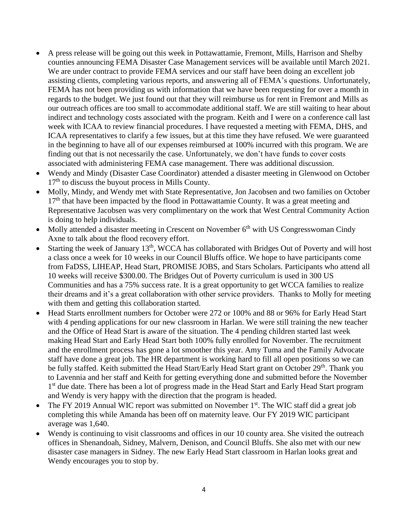- A press release will be going out this week in Pottawattamie, Fremont, Mills, Harrison and Shelby counties announcing FEMA Disaster Case Management services will be available until March 2021. We are under contract to provide FEMA services and our staff have been doing an excellent job assisting clients, completing various reports, and answering all of FEMA's questions. Unfortunately, FEMA has not been providing us with information that we have been requesting for over a month in regards to the budget. We just found out that they will reimburse us for rent in Fremont and Mills as our outreach offices are too small to accommodate additional staff. We are still waiting to hear about indirect and technology costs associated with the program. Keith and I were on a conference call last week with ICAA to review financial procedures. I have requested a meeting with FEMA, DHS, and ICAA representatives to clarify a few issues, but at this time they have refused. We were guaranteed in the beginning to have all of our expenses reimbursed at 100% incurred with this program. We are finding out that is not necessarily the case. Unfortunately, we don't have funds to cover costs associated with administering FEMA case management. There was additional discussion.
- Wendy and Mindy (Disaster Case Coordinator) attended a disaster meeting in Glenwood on October  $17<sup>th</sup>$  to discuss the buyout process in Mills County.
- Molly, Mindy, and Wendy met with State Representative, Jon Jacobsen and two families on October  $17<sup>th</sup>$  that have been impacted by the flood in Pottawattamie County. It was a great meeting and Representative Jacobsen was very complimentary on the work that West Central Community Action is doing to help individuals.
- $\bullet$  Molly attended a disaster meeting in Crescent on November 6<sup>th</sup> with US Congresswoman Cindy Axne to talk about the flood recovery effort.
- Starting the week of January  $13<sup>th</sup>$ , WCCA has collaborated with Bridges Out of Poverty and will host a class once a week for 10 weeks in our Council Bluffs office. We hope to have participants come from FaDSS, LIHEAP, Head Start, PROMISE JOBS, and Stars Scholars. Participants who attend all 10 weeks will receive \$300.00. The Bridges Out of Poverty curriculum is used in 300 US Communities and has a 75% success rate. It is a great opportunity to get WCCA families to realize their dreams and it's a great collaboration with other service providers. Thanks to Molly for meeting with them and getting this collaboration started.
- Head Starts enrollment numbers for October were 272 or 100% and 88 or 96% for Early Head Start with 4 pending applications for our new classroom in Harlan. We were still training the new teacher and the Office of Head Start is aware of the situation. The 4 pending children started last week making Head Start and Early Head Start both 100% fully enrolled for November. The recruitment and the enrollment process has gone a lot smoother this year. Amy Tuma and the Family Advocate staff have done a great job. The HR department is working hard to fill all open positions so we can be fully staffed. Keith submitted the Head Start/Early Head Start grant on October 29<sup>th</sup>. Thank you to Lavennia and her staff and Keith for getting everything done and submitted before the November 1<sup>st</sup> due date. There has been a lot of progress made in the Head Start and Early Head Start program and Wendy is very happy with the direction that the program is headed.
- The FY 2019 Annual WIC report was submitted on November 1<sup>st</sup>. The WIC staff did a great job completing this while Amanda has been off on maternity leave. Our FY 2019 WIC participant average was 1,640.
- Wendy is continuing to visit classrooms and offices in our 10 county area. She visited the outreach offices in Shenandoah, Sidney, Malvern, Denison, and Council Bluffs. She also met with our new disaster case managers in Sidney. The new Early Head Start classroom in Harlan looks great and Wendy encourages you to stop by.